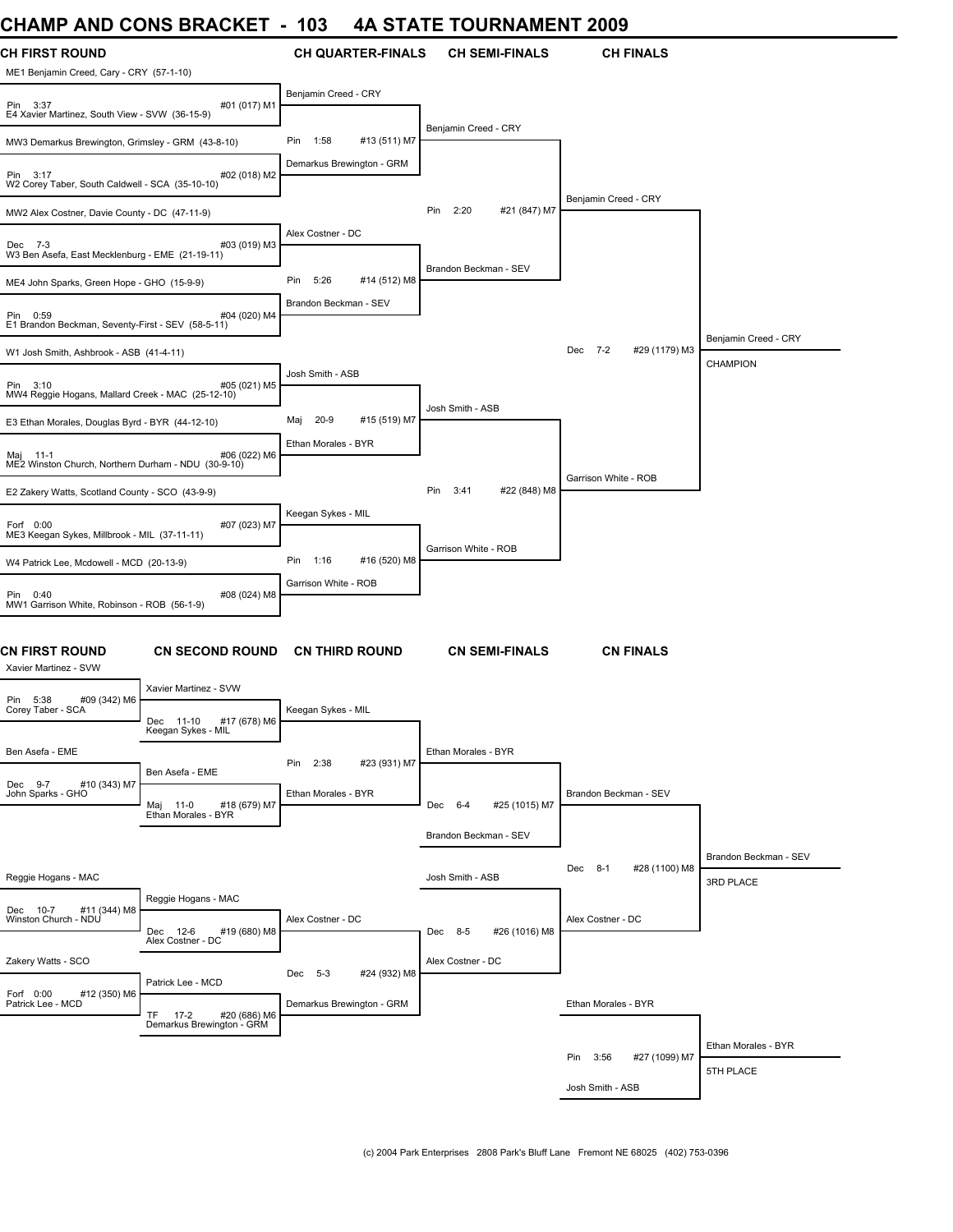### **CHAMP AND CONS BRACKET - 103 4A STATE TOURNAMENT 2009**

| יויטריוני<br>AN P                                               | <u>UUINU DIVAUNE I</u>                                           |                                      | 0   A   L                |                       |                       |                           |                       |
|-----------------------------------------------------------------|------------------------------------------------------------------|--------------------------------------|--------------------------|-----------------------|-----------------------|---------------------------|-----------------------|
| CH FIRST ROUND<br>ME1 Benjamin Creed, Cary - CRY (57-1-10)      |                                                                  |                                      | <b>CH QUARTER-FINALS</b> |                       | <b>CH SEMI-FINALS</b> | <b>CH FINALS</b>          |                       |
| Pin 3:37<br>E4 Xavier Martinez, South View - SVW (36-15-9)      | #01 (017) M1                                                     | Benjamin Creed - CRY                 |                          |                       |                       |                           |                       |
| MW3 Demarkus Brewington, Grimsley - GRM (43-8-10)               |                                                                  | 1:58<br>Pin                          | #13 (511) M7             | Benjamin Creed - CRY  |                       |                           |                       |
| Pin 3:17<br>W2 Corey Taber, South Caldwell - SCA (35-10-10)     | #02 (018) M2                                                     | Demarkus Brewington - GRM            |                          |                       |                       |                           |                       |
| MW2 Alex Costner, Davie County - DC (47-11-9)                   |                                                                  |                                      |                          | 2:20<br>Pin           | #21 (847) M7          | Benjamin Creed - CRY      |                       |
| Dec 7-3<br>W3 Ben Asefa, East Mecklenburg - EME (21-19-11)      | #03 (019) M3                                                     | Alex Costner - DC                    |                          |                       |                       |                           |                       |
| ME4 John Sparks, Green Hope - GHO (15-9-9)                      |                                                                  | 5:26<br>Pin                          | #14 (512) M8             | Brandon Beckman - SEV |                       |                           |                       |
| Pin 0:59<br>E1 Brandon Beckman, Seventy-First - SEV (58-5-11)   | #04 (020) M4                                                     | Brandon Beckman - SEV                |                          |                       |                       |                           |                       |
| W1 Josh Smith, Ashbrook - ASB (41-4-11)                         |                                                                  |                                      |                          |                       |                       | Dec 7-2<br>#29 (1179) M3  | Benjamin Creed - CRY  |
| Pin 3:10<br>MW4 Reggie Hogans, Mallard Creek - MAC (25-12-10)   | #05 (021) M5                                                     | Josh Smith - ASB                     |                          |                       |                       |                           | <b>CHAMPION</b>       |
| E3 Ethan Morales, Douglas Byrd - BYR (44-12-10)                 |                                                                  | $20-9$<br>Maj                        | #15 (519) M7             | Josh Smith - ASB      |                       |                           |                       |
| Maj 11-1<br>ME2 Winston Church, Northern Durham - NDU (30-9-10) | #06 (022) M6                                                     | Ethan Morales - BYR                  |                          |                       |                       |                           |                       |
| E2 Zakery Watts, Scotland County - SCO (43-9-9)                 |                                                                  |                                      |                          | Pin<br>3:41           | #22 (848) M8          | Garrison White - ROB      |                       |
| Forf 0:00<br>ME3 Keegan Sykes, Millbrook - MIL (37-11-11)       | #07 (023) M7                                                     | Keegan Sykes - MIL                   |                          |                       |                       |                           |                       |
| W4 Patrick Lee, Mcdowell - MCD (20-13-9)                        |                                                                  | 1:16<br>Pin                          | #16 (520) M8             | Garrison White - ROB  |                       |                           |                       |
| Pin 0:40<br>MW1 Garrison White, Robinson - ROB (56-1-9)         | #08 (024) M8                                                     | Garrison White - ROB                 |                          |                       |                       |                           |                       |
| CN FIRST ROUND<br>Xavier Martinez - SVW                         | <b>CN SECOND ROUND</b>                                           | <b>CN THIRD ROUND</b>                |                          |                       | <b>CN SEMI-FINALS</b> | <b>CN FINALS</b>          |                       |
| Pin 5:38<br>#09 (342) M6<br>Corey Taber - SCA                   | Xavier Martinez - SVW<br>Dec 11-10<br>#17 (678) M6               | Keegan Sykes - MIL                   |                          |                       |                       |                           |                       |
| Ben Asefa - EME                                                 | Keegan Sykes - MIL                                               | 2:38<br>Pin                          | #23 (931) M7             | Ethan Morales - BYR   |                       |                           |                       |
| Dec 9-7<br>#10 (343) M7<br>John Sparks - GHO                    | Ben Asefa - EME<br>#18 (679) M7<br>Maj 11-0                      | Ethan Morales - BYR                  |                          | Dec 6-4               | #25 (1015) M7         | Brandon Beckman - SEV     |                       |
|                                                                 | Ethan Morales - BYR                                              |                                      |                          | Brandon Beckman - SEV |                       |                           |                       |
|                                                                 |                                                                  |                                      |                          |                       |                       | #28 (1100) M8<br>Dec 8-1  | Brandon Beckman - SEV |
| Reggie Hogans - MAC                                             | Reggie Hogans - MAC                                              |                                      |                          | Josh Smith - ASB      |                       |                           | 3RD PLACE             |
| Dec 10-7<br>#11 (344) M8<br>Winston Church - NDU                | #19 (680) M8<br>Dec 12-6<br>Alex Costner - DC                    | Alex Costner - DC                    |                          | Dec 8-5               | #26 (1016) M8         | Alex Costner - DC         |                       |
| Zakery Watts - SCO                                              |                                                                  |                                      |                          | Alex Costner - DC     |                       |                           |                       |
| Forf 0:00<br>#12 (350) M6<br>Patrick Lee - MCD                  | Patrick Lee - MCD                                                | Dec 5-3<br>Demarkus Brewington - GRM | #24 (932) M8             |                       |                       | Ethan Morales - BYR       |                       |
|                                                                 | <b>TF</b><br>$17-2$<br>#20 (686) M6<br>Demarkus Brewington - GRM |                                      |                          |                       |                       |                           |                       |
|                                                                 |                                                                  |                                      |                          |                       |                       | #27 (1099) M7<br>Pin 3:56 | Ethan Morales - BYR   |
|                                                                 |                                                                  |                                      |                          |                       |                       | Josh Smith - ASB          | 5TH PLACE             |
|                                                                 |                                                                  |                                      |                          |                       |                       |                           |                       |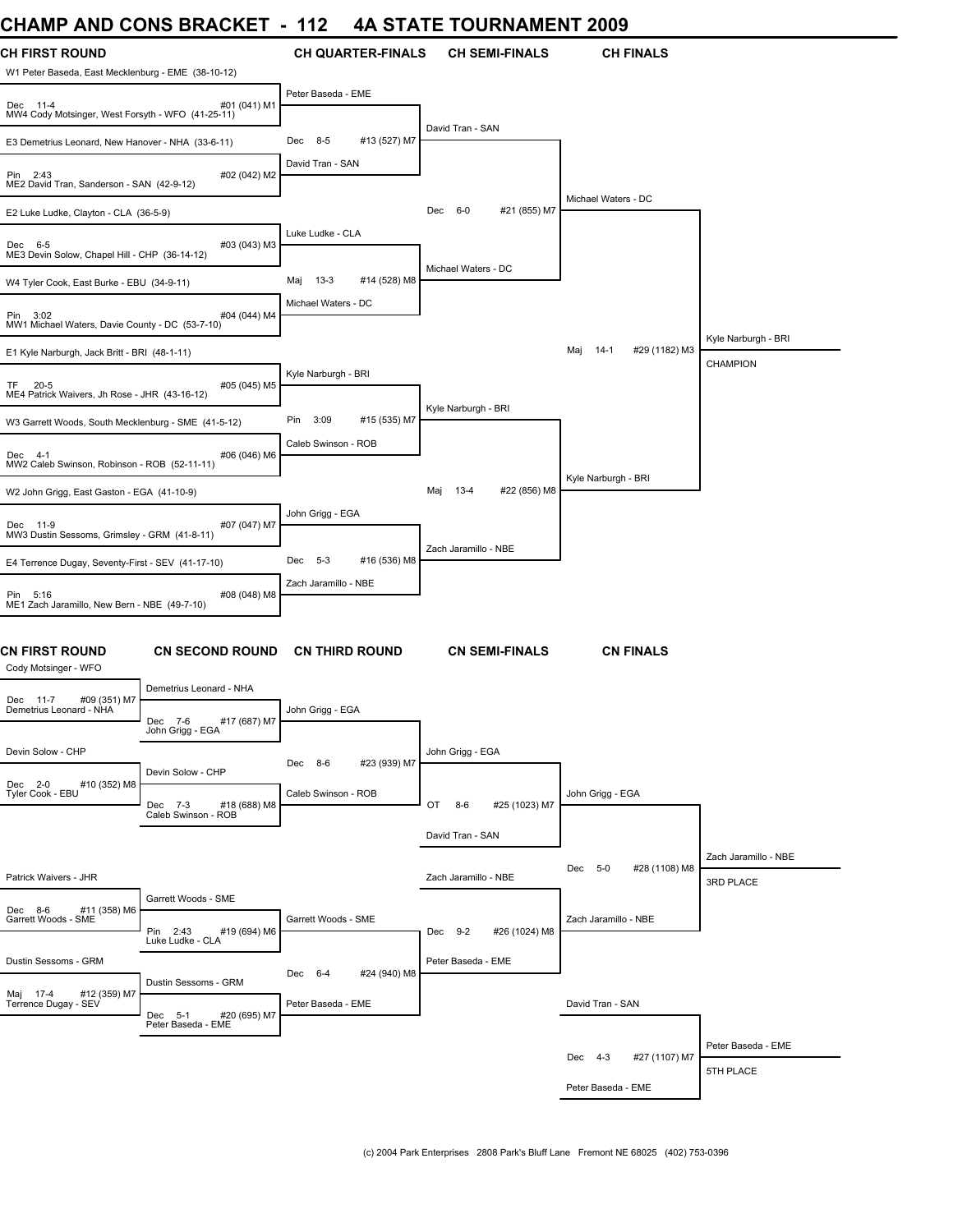# **CHAMP AND CONS BRACKET - 112 4A STATE TOURNAMENT 2009**

| <b>CH FIRST ROUND</b><br>W1 Peter Baseda, East Mecklenburg - EME (38-10-12) |                                                | <b>CH QUARTER-FINALS</b>       | <b>CH SEMI-FINALS</b>           | <b>CH FINALS</b>               |                      |
|-----------------------------------------------------------------------------|------------------------------------------------|--------------------------------|---------------------------------|--------------------------------|----------------------|
| Dec 11-4<br>MW4 Cody Motsinger, West Forsyth - WFO (41-25-11)               | #01 (041) M1                                   | Peter Baseda - EME             |                                 |                                |                      |
| E3 Demetrius Leonard, New Hanover - NHA (33-6-11)                           |                                                | #13 (527) M7<br>$8 - 5$<br>Dec | David Tran - SAN                |                                |                      |
| Pin 2:43<br>ME2 David Tran, Sanderson - SAN (42-9-12)                       | #02 (042) M2                                   | David Tran - SAN               |                                 |                                |                      |
| E2 Luke Ludke, Clayton - CLA (36-5-9)                                       |                                                |                                | #21 (855) M7<br>$6-0$<br>Dec    | Michael Waters - DC            |                      |
| Dec 6-5<br>ME3 Devin Solow, Chapel Hill - CHP (36-14-12)                    | #03 (043) M3                                   | Luke Ludke - CLA               |                                 |                                |                      |
| W4 Tyler Cook, East Burke - EBU (34-9-11)                                   |                                                | $13-3$<br>#14 (528) M8<br>Maj  | Michael Waters - DC             |                                |                      |
| Pin 3:02<br>MW1 Michael Waters, Davie County - DC (53-7-10)                 | #04 (044) M4                                   | Michael Waters - DC            |                                 |                                |                      |
| E1 Kyle Narburgh, Jack Britt - BRI (48-1-11)                                |                                                |                                |                                 | #29 (1182) M3<br>$14-1$<br>Maj | Kyle Narburgh - BRI  |
| $20 - 5$<br>TF.<br>ME4 Patrick Waivers, Jh Rose - JHR (43-16-12)            | #05 (045) M5                                   | Kyle Narburgh - BRI            |                                 |                                | CHAMPION             |
| W3 Garrett Woods, South Mecklenburg - SME (41-5-12)                         |                                                | 3:09<br>#15 (535) M7<br>Pin    | Kyle Narburgh - BRI             |                                |                      |
| Dec 4-1<br>MW2 Caleb Swinson, Robinson - ROB (52-11-11)                     | #06 (046) M6                                   | Caleb Swinson - ROB            |                                 |                                |                      |
| W2 John Grigg, East Gaston - EGA (41-10-9)                                  |                                                |                                | #22 (856) M8<br>$13 - 4$<br>Maj | Kyle Narburgh - BRI            |                      |
| Dec 11-9<br>MW3 Dustin Sessoms, Grimsley - GRM (41-8-11)                    | #07 (047) M7                                   | John Grigg - EGA               |                                 |                                |                      |
| E4 Terrence Dugay, Seventy-First - SEV (41-17-10)                           |                                                | #16 (536) M8<br>$5-3$<br>Dec   | Zach Jaramillo - NBE            |                                |                      |
| Pin 5:16<br>ME1 Zach Jaramillo, New Bern - NBE (49-7-10)                    | #08 (048) M8                                   | Zach Jaramillo - NBE           |                                 |                                |                      |
| <b>CN FIRST ROUND</b><br>Cody Motsinger - WFO                               | <b>CN SECOND ROUND</b>                         | <b>CN THIRD ROUND</b>          | <b>CN SEMI-FINALS</b>           | <b>CN FINALS</b>               |                      |
| #09 (351) M7<br>Dec 11-7                                                    | Demetrius Leonard - NHA                        |                                |                                 |                                |                      |
| Demetrius Leonard - NHA                                                     | #17 (687) M7<br>Dec<br>7-6<br>John Grigg - EGA | John Grigg - EGA               |                                 |                                |                      |
| Devin Solow - CHP                                                           |                                                | Dec 8-6<br>#23 (939) M7        | John Grigg - EGA                |                                |                      |
| Dec 2-0<br>#10 (352) M8<br>Tyler Cook - EBU                                 | Devin Solow - CHP<br>#18 (688) M8<br>Dec 7-3   | Caleb Swinson - ROB            | OT<br>$8 - 6$<br>#25 (1023) M7  | John Grigg - EGA               |                      |
|                                                                             | Caleb Swinson - ROB                            |                                | David Tran - SAN                |                                |                      |
|                                                                             |                                                |                                |                                 | Dec 5-0<br>#28 (1108) M8       | Zach Jaramillo - NBE |
| Patrick Waivers - JHR                                                       | Garrett Woods - SME                            |                                | Zach Jaramillo - NBE            |                                | 3RD PLACE            |
| Dec 8-6<br>#11 (358) M6<br>Garrett Woods - SME                              | Pin 2:43<br>#19 (694) M6                       | Garrett Woods - SME            | Dec 9-2<br>#26 (1024) M8        | Zach Jaramillo - NBE           |                      |
| Dustin Sessoms - GRM                                                        | Luke Ludke - CLA                               |                                | Peter Baseda - EME              |                                |                      |
|                                                                             | Dustin Sessoms - GRM                           | #24 (940) M8<br>Dec 6-4        |                                 |                                |                      |
| Maj 17-4 #12 (359) M7<br>Terrence Dugay - SEV                               | Dec 5-1<br>#20 (695) M7<br>Peter Baseda - EME  | Peter Baseda - EME             |                                 | David Tran - SAN               |                      |
|                                                                             |                                                |                                |                                 |                                | Peter Baseda - EME   |
|                                                                             |                                                |                                |                                 | Dec 4-3<br>#27 (1107) M7       | 5TH PLACE            |
|                                                                             |                                                |                                |                                 | Peter Baseda - EME             |                      |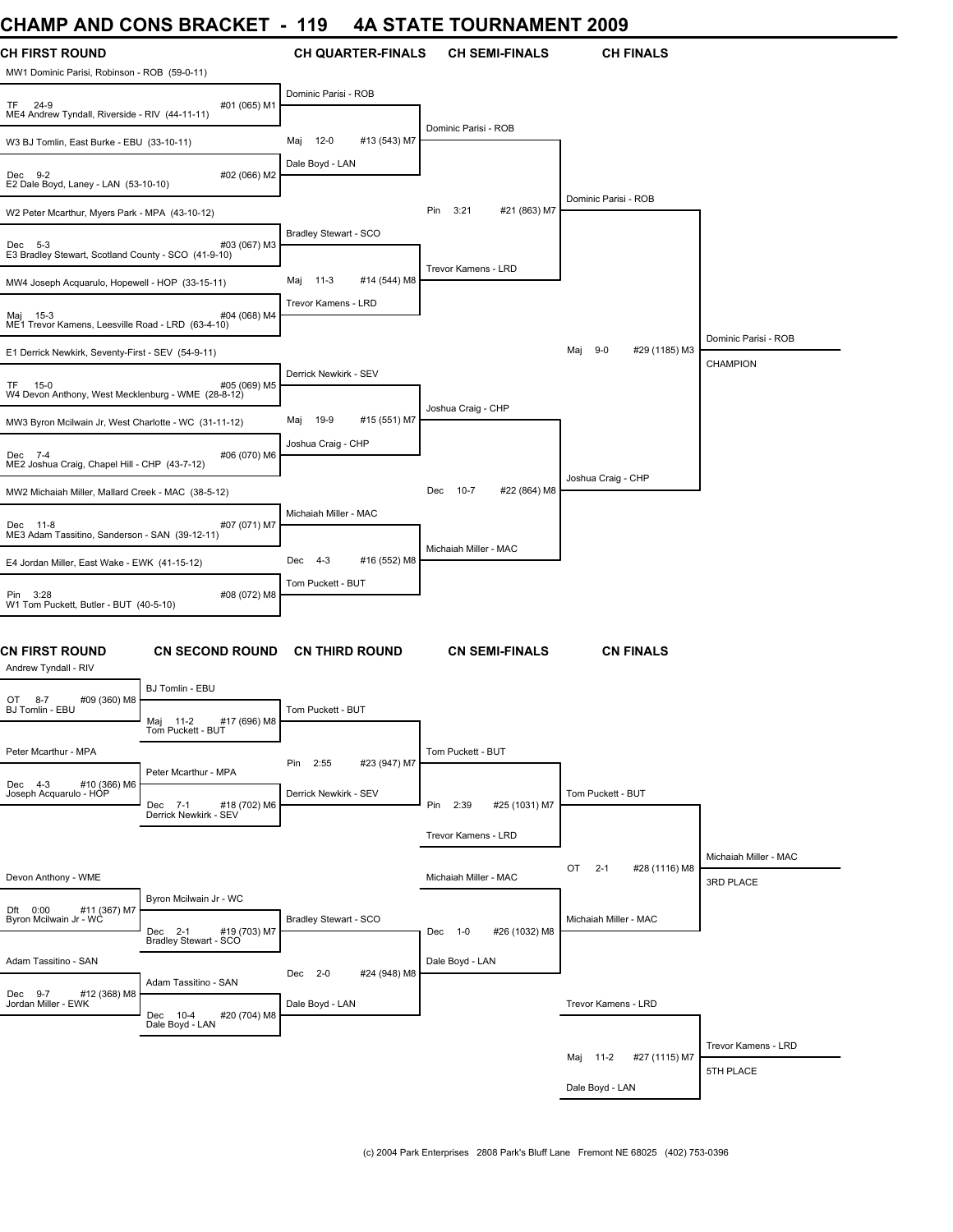### **CHAMP AND CONS BRACKET - 119 4A STATE TOURNAMENT 2009**

| UIAME AND CONS DIVACILI                                               |                                                 | I I J                         | TA JIAIL IVUINNAMENI          | LUUJ                           |                                    |
|-----------------------------------------------------------------------|-------------------------------------------------|-------------------------------|-------------------------------|--------------------------------|------------------------------------|
| <b>CH FIRST ROUND</b><br>MW1 Dominic Parisi, Robinson - ROB (59-0-11) |                                                 | <b>CH QUARTER-FINALS</b>      | <b>CH SEMI-FINALS</b>         | <b>CH FINALS</b>               |                                    |
| TF 24-9<br>ME4 Andrew Tyndall, Riverside - RIV (44-11-11)             | #01 (065) M1                                    | Dominic Parisi - ROB          |                               |                                |                                    |
| W3 BJ Tomlin, East Burke - EBU (33-10-11)                             |                                                 | 12-0<br>#13 (543) M7<br>Maj   | Dominic Parisi - ROB          |                                |                                    |
| Dec 9-2<br>E2 Dale Boyd, Laney - LAN (53-10-10)                       | #02 (066) M2                                    | Dale Boyd - LAN               |                               |                                |                                    |
| W2 Peter Mcarthur, Myers Park - MPA (43-10-12)                        |                                                 |                               | Pin<br>3:21<br>#21 (863) M7   | Dominic Parisi - ROB           |                                    |
| Dec 5-3<br>E3 Bradley Stewart, Scotland County - SCO (41-9-10)        | #03 (067) M3                                    | Bradley Stewart - SCO         |                               |                                |                                    |
| MW4 Joseph Acquarulo, Hopewell - HOP (33-15-11)                       |                                                 | $11-3$<br>#14 (544) M8<br>Maj | Trevor Kamens - LRD           |                                |                                    |
| Maj 15-3<br>ME1 Trevor Kamens, Leesville Road - LRD (63-4-10)         | #04 (068) M4                                    | Trevor Kamens - LRD           |                               |                                |                                    |
| E1 Derrick Newkirk, Seventy-First - SEV (54-9-11)                     |                                                 |                               |                               | $9-0$<br>#29 (1185) M3<br>Maj  | Dominic Parisi - ROB               |
|                                                                       |                                                 | Derrick Newkirk - SEV         |                               |                                | <b>CHAMPION</b>                    |
| TF 15-0<br>W4 Devon Anthony, West Mecklenburg - WME (28-8-12)         | #05 (069) M5                                    |                               | Joshua Craig - CHP            |                                |                                    |
| MW3 Byron Mcilwain Jr, West Charlotte - WC (31-11-12)                 |                                                 | 19-9<br>#15 (551) M7<br>Maj   |                               |                                |                                    |
| Dec 7-4<br>ME2 Joshua Craig, Chapel Hill - CHP (43-7-12)              | #06 (070) M6                                    | Joshua Craig - CHP            |                               |                                |                                    |
| MW2 Michaiah Miller, Mallard Creek - MAC (38-5-12)                    |                                                 |                               | $10-7$<br>#22 (864) M8<br>Dec | Joshua Craig - CHP             |                                    |
| Dec 11-8<br>ME3 Adam Tassitino, Sanderson - SAN (39-12-11)            | #07 (071) M7                                    | Michaiah Miller - MAC         |                               |                                |                                    |
| E4 Jordan Miller, East Wake - EWK (41-15-12)                          |                                                 | #16 (552) M8<br>Dec<br>-4-3   | Michaiah Miller - MAC         |                                |                                    |
| Pin 3:28<br>W1 Tom Puckett, Butler - BUT (40-5-10)                    | #08 (072) M8                                    | Tom Puckett - BUT             |                               |                                |                                    |
| CN FIRST ROUND<br>Andrew Tyndall - RIV                                | <b>CN SECOND ROUND</b>                          | <b>CN THIRD ROUND</b>         | <b>CN SEMI-FINALS</b>         | <b>CN FINALS</b>               |                                    |
| #09 (360) M8<br>OT 8-7                                                | BJ Tomlin - EBU                                 |                               |                               |                                |                                    |
| BJ Tomlin - EBU                                                       | #17 (696) M8<br>Maj 11-2<br>Tom Puckett - BUT   | Tom Puckett - BUT             |                               |                                |                                    |
| Peter Mcarthur - MPA                                                  |                                                 | #23 (947) M7<br>2:55<br>Pin   | Tom Puckett - BUT             |                                |                                    |
| Dec 4-3 #10 (366) M6<br>Joseph Acquarulo - HOP                        | Peter Mcarthur - MPA<br>#18 (702) M6<br>Dec 7-1 | Derrick Newkirk - SEV         | Pin<br>2:39<br>#25 (1031) M7  | Tom Puckett - BUT              |                                    |
|                                                                       | Derrick Newkirk - SEV                           |                               |                               |                                |                                    |
|                                                                       |                                                 |                               | Trevor Kamens - LRD           |                                |                                    |
| Devon Anthony - WME                                                   |                                                 |                               | Michaiah Miller - MAC         | OT<br>$2 - 1$<br>#28 (1116) M8 | Michaiah Miller - MAC<br>3RD PLACE |
|                                                                       | Byron Mcilwain Jr - WC                          |                               |                               |                                |                                    |
| Dft 0:00 #11 (367) M7<br>Byron Mcilwain Jr - WC                       | #19 (703) M7<br>Dec 2-1                         | Bradley Stewart - SCO         | #26 (1032) M8<br>Dec 1-0      | Michaiah Miller - MAC          |                                    |
|                                                                       | Bradley Stewart - SCO                           |                               |                               |                                |                                    |
| Adam Tassitino - SAN                                                  | Adam Tassitino - SAN                            | #24 (948) M8<br>Dec 2-0       | Dale Boyd - LAN               |                                |                                    |
| Dec 9-7<br>#12 (368) M8<br>Jordan Miller - EWK                        | Dec 10-4<br>#20 (704) M8<br>Dale Boyd - LAN     | Dale Boyd - LAN               |                               | Trevor Kamens - LRD            |                                    |
|                                                                       |                                                 |                               |                               |                                | Trevor Kamens - LRD                |
|                                                                       |                                                 |                               |                               | #27 (1115) M7<br>Maj 11-2      | 5TH PLACE                          |
|                                                                       |                                                 |                               |                               | Dale Boyd - LAN                |                                    |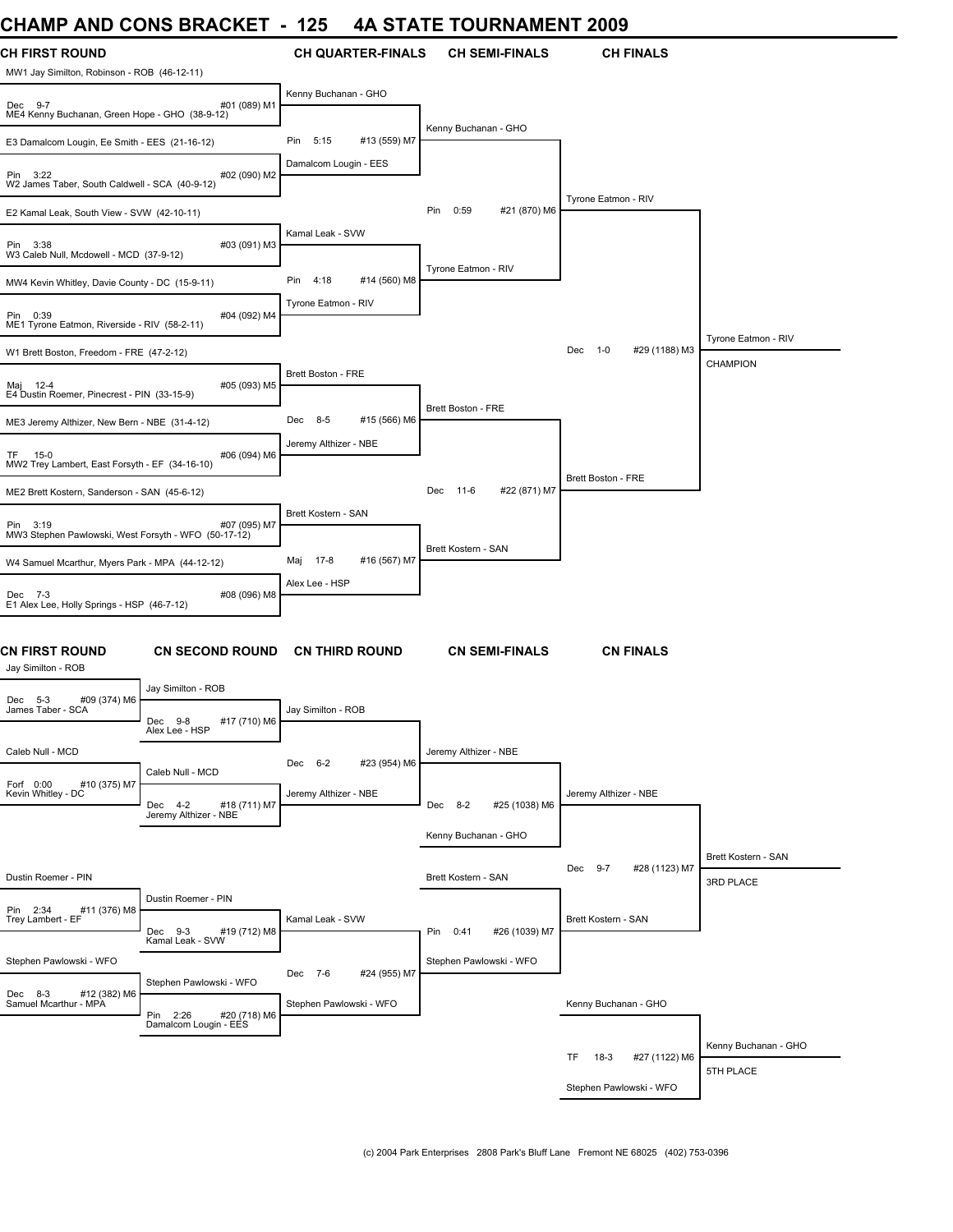# **CHAMP AND CONS BRACKET - 125 4A STATE TOURNAMENT 2009**

| <b>CH FIRST ROUND</b><br>MW1 Jay Similton, Robinson - ROB (46-12-11) |                                                   | <b>CH QUARTER-FINALS</b>                           | <b>CH SEMI-FINALS</b>        | <b>CH FINALS</b>                |                      |
|----------------------------------------------------------------------|---------------------------------------------------|----------------------------------------------------|------------------------------|---------------------------------|----------------------|
| Dec 9-7<br>ME4 Kenny Buchanan, Green Hope - GHO (38-9-12)            | #01 (089) M1                                      | Kenny Buchanan - GHO                               |                              |                                 |                      |
| E3 Damalcom Lougin, Ee Smith - EES (21-16-12)                        |                                                   | #13 (559) M7<br>Pin<br>5:15                        | Kenny Buchanan - GHO         |                                 |                      |
| Pin 3:22<br>W2 James Taber, South Caldwell - SCA (40-9-12)           | #02 (090) M2                                      | Damalcom Lougin - EES                              |                              |                                 |                      |
| E2 Kamal Leak, South View - SVW (42-10-11)                           |                                                   |                                                    | #21 (870) M6<br>Pin<br>0:59  | Tyrone Eatmon - RIV             |                      |
| Pin 3:38<br>W3 Caleb Null, Mcdowell - MCD (37-9-12)                  | #03 (091) M3                                      | Kamal Leak - SVW                                   |                              |                                 |                      |
| MW4 Kevin Whitley, Davie County - DC (15-9-11)                       |                                                   | Pin<br>4:18<br>#14 (560) M8                        | Tyrone Eatmon - RIV          |                                 |                      |
| Pin 0:39<br>ME1 Tyrone Eatmon, Riverside - RIV (58-2-11)             | #04 (092) M4                                      | Tyrone Eatmon - RIV                                |                              |                                 |                      |
| W1 Brett Boston, Freedom - FRE (47-2-12)                             |                                                   |                                                    |                              | Dec<br>$1 - 0$<br>#29 (1188) M3 | Tyrone Eatmon - RIV  |
| Maj 12-4<br>E4 Dustin Roemer, Pinecrest - PIN (33-15-9)              | #05 (093) M5                                      | <b>Brett Boston - FRE</b>                          |                              |                                 | <b>CHAMPION</b>      |
| ME3 Jeremy Althizer, New Bern - NBE (31-4-12)                        |                                                   | 8-5<br>#15 (566) M6<br>Dec                         | <b>Brett Boston - FRE</b>    |                                 |                      |
| TF.<br>15-0<br>MW2 Trey Lambert, East Forsyth - EF (34-16-10)        | #06 (094) M6                                      | Jeremy Althizer - NBE                              |                              |                                 |                      |
| ME2 Brett Kostern, Sanderson - SAN (45-6-12)                         |                                                   |                                                    | 11-6<br>#22 (871) M7<br>Dec  | Brett Boston - FRE              |                      |
| Pin 3:19<br>MW3 Stephen Pawlowski, West Forsyth - WFO (50-17-12)     | #07 (095) M7                                      | Brett Kostern - SAN                                |                              |                                 |                      |
| W4 Samuel Mcarthur, Myers Park - MPA (44-12-12)                      |                                                   | 17-8<br>#16 (567) M7<br>Maj                        | Brett Kostern - SAN          |                                 |                      |
| Dec 7-3<br>E1 Alex Lee, Holly Springs - HSP (46-7-12)                | #08 (096) M8                                      | Alex Lee - HSP                                     |                              |                                 |                      |
| CN FIRST ROUND<br>Jay Similton - ROB                                 | <b>CN SECOND ROUND</b>                            | <b>CN THIRD ROUND</b>                              | <b>CN SEMI-FINALS</b>        | <b>CN FINALS</b>                |                      |
| #09 (374) M6<br>Dec 5-3                                              | Jay Similton - ROB                                |                                                    |                              |                                 |                      |
| James Taber - SCA                                                    | #17 (710) M6<br>Dec<br>$9-8$<br>Alex Lee - HSP    | Jay Similton - ROB                                 |                              |                                 |                      |
| Caleb Null - MCD                                                     | Caleb Null - MCD                                  | #23 (954) M6<br>$6 - 2$<br>Dec                     | Jeremy Althizer - NBE        |                                 |                      |
| Forf 0:00<br>#10 (375) M7<br>Kevin Whitley - DC                      | #18 (711) M7<br>Dec 4-2<br>Jeremy Althizer - NBE  | Jeremy Althizer - NBE                              | Dec 8-2<br>#25 (1038) M6     | Jeremy Althizer - NBE           |                      |
|                                                                      |                                                   |                                                    | Kenny Buchanan - GHO         |                                 |                      |
|                                                                      |                                                   |                                                    |                              | Dec<br>$9 - 7$<br>#28 (1123) M7 | Brett Kostern - SAN  |
| Dustin Roemer - PIN                                                  | Dustin Roemer - PIN                               |                                                    | Brett Kostern - SAN          |                                 | 3RD PLACE            |
| Pin 2:34<br>#11 (376) M8<br>Trey Lambert - EF                        | Dec 9-3<br>#19 (712) M8<br>Kamal Leak - SVW       | Kamal Leak - SVW                                   | #26 (1039) M7<br>Pin<br>0:41 | Brett Kostern - SAN             |                      |
| Stephen Pawlowski - WFO                                              |                                                   |                                                    | Stephen Pawlowski - WFO      |                                 |                      |
| Dec 8-3 #12 (382) M6<br>Samuel Mcarthur - MPA                        | Stephen Pawlowski - WFO                           | Dec 7-6<br>#24 (955) M7<br>Stephen Pawlowski - WFO |                              | Kenny Buchanan - GHO            |                      |
|                                                                      | Pin 2:26<br>#20 (718) M6<br>Damalcom Lougin - EES |                                                    |                              |                                 |                      |
|                                                                      |                                                   |                                                    |                              | TF.<br>$18-3$<br>#27 (1122) M6  | Kenny Buchanan - GHO |
|                                                                      |                                                   |                                                    |                              | Stephen Pawlowski - WFO         | 5TH PLACE            |
|                                                                      |                                                   |                                                    |                              |                                 |                      |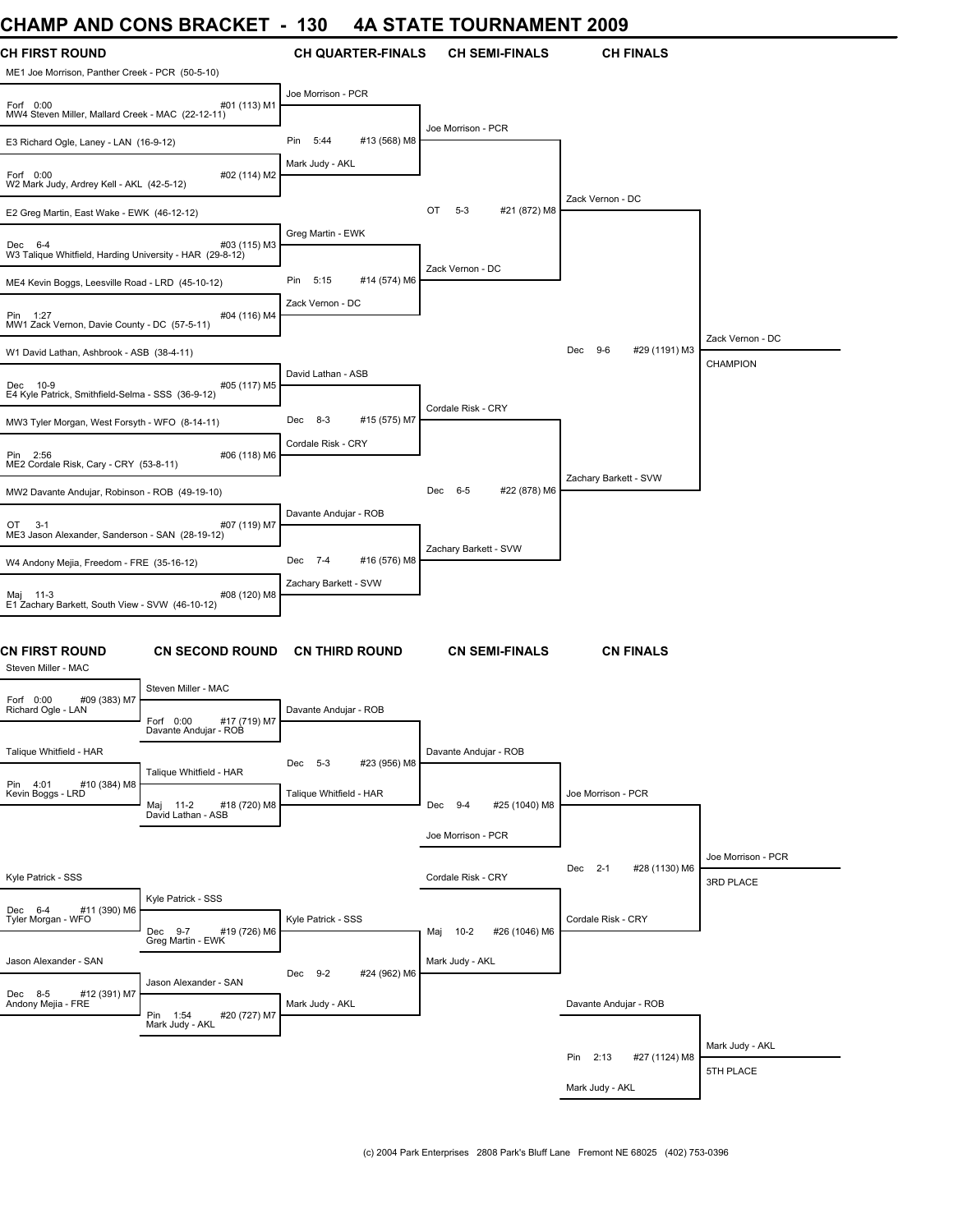### **CHAMP AND CONS BRACKET - 130 4A STATE TOURNAMENT 2009**

| UNAIVIL AND UUNJ DRAUNE I                                                |                                                                           | טט ו                        | 4A JIAIE IUUNNAMENI 400J       |                                 |                                 |
|--------------------------------------------------------------------------|---------------------------------------------------------------------------|-----------------------------|--------------------------------|---------------------------------|---------------------------------|
| <b>CH FIRST ROUND</b><br>ME1 Joe Morrison, Panther Creek - PCR (50-5-10) |                                                                           | <b>CH QUARTER-FINALS</b>    | <b>CH SEMI-FINALS</b>          | <b>CH FINALS</b>                |                                 |
| Forf 0:00<br>MW4 Steven Miller, Mallard Creek - MAC (22-12-11)           | #01 (113) M1                                                              | Joe Morrison - PCR          |                                |                                 |                                 |
| E3 Richard Ogle, Laney - LAN (16-9-12)                                   |                                                                           | #13 (568) M8<br>Pin<br>5:44 | Joe Morrison - PCR             |                                 |                                 |
| Forf 0:00<br>W2 Mark Judy, Ardrey Kell - AKL (42-5-12)                   | #02 (114) M2                                                              | Mark Judy - AKL             |                                |                                 |                                 |
| E2 Greg Martin, East Wake - EWK (46-12-12)                               |                                                                           |                             | $5 - 3$<br>#21 (872) M8<br>OT  | Zack Vernon - DC                |                                 |
| Dec 6-4<br>W3 Talique Whitfield, Harding University - HAR (29-8-12)      | #03 (115) M3                                                              | Greg Martin - EWK           |                                |                                 |                                 |
| ME4 Kevin Boggs, Leesville Road - LRD (45-10-12)                         |                                                                           | Pin<br>5:15<br>#14 (574) M6 | Zack Vernon - DC               |                                 |                                 |
| Pin 1:27<br>MW1 Zack Vernon, Davie County - DC (57-5-11)                 | #04 (116) M4                                                              | Zack Vernon - DC            |                                |                                 |                                 |
| W1 David Lathan, Ashbrook - ASB (38-4-11)                                |                                                                           |                             |                                | Dec 9-6<br>#29 (1191) M3        | Zack Vernon - DC                |
| Dec 10-9<br>E4 Kyle Patrick, Smithfield-Selma - SSS (36-9-12)            | #05 (117) M5                                                              | David Lathan - ASB          |                                |                                 | CHAMPION                        |
| MW3 Tyler Morgan, West Forsyth - WFO (8-14-11)                           |                                                                           | 8-3<br>#15 (575) M7<br>Dec  | Cordale Risk - CRY             |                                 |                                 |
| Pin 2:56<br>ME2 Cordale Risk, Cary - CRY (53-8-11)                       | #06 (118) M6                                                              | Cordale Risk - CRY          |                                |                                 |                                 |
| MW2 Davante Andujar, Robinson - ROB (49-19-10)                           |                                                                           |                             | Dec 6-5<br>#22 (878) M6        | Zachary Barkett - SVW           |                                 |
| OT<br>$3-1$<br>ME3 Jason Alexander, Sanderson - SAN (28-19-12)           | #07 (119) M7                                                              | Davante Andujar - ROB       |                                |                                 |                                 |
| W4 Andony Mejia, Freedom - FRE (35-16-12)                                |                                                                           | #16 (576) M8<br>Dec 7-4     | Zachary Barkett - SVW          |                                 |                                 |
| Maj 11-3<br>E1 Zachary Barkett, South View - SVW (46-10-12)              | #08 (120) M8                                                              | Zachary Barkett - SVW       |                                |                                 |                                 |
| CN FIRST ROUND<br>Steven Miller - MAC                                    | <b>CN SECOND ROUND</b>                                                    | <b>CN THIRD ROUND</b>       | <b>CN SEMI-FINALS</b>          | <b>CN FINALS</b>                |                                 |
| Forf 0:00<br>#09 (383) M7                                                | Steven Miller - MAC                                                       |                             |                                |                                 |                                 |
| Richard Ogle - LAN                                                       | Forf 0:00<br>#17 (719) M7<br>Davante Andujar - ROB                        | Davante Andujar - ROB       |                                |                                 |                                 |
| Talique Whitfield - HAR                                                  |                                                                           | #23 (956) M8<br>Dec 5-3     | Davante Andujar - ROB          |                                 |                                 |
| Pin 4:01<br>#10 (384) M8<br>Kevin Boggs - LRD                            | Talique Whitfield - HAR<br>Maj 11-2<br>#18 (720) M8<br>David Lathan - ASB | Talique Whitfield - HAR     | Dec 9-4<br>#25 (1040) M8       | Joe Morrison - PCR              |                                 |
|                                                                          |                                                                           |                             | Joe Morrison - PCR             |                                 |                                 |
| Kyle Patrick - SSS                                                       |                                                                           |                             | Cordale Risk - CRY             | $2 - 1$<br>#28 (1130) M6<br>Dec | Joe Morrison - PCR<br>3RD PLACE |
| #11 (390) M6<br>Dec 6-4                                                  | Kyle Patrick - SSS                                                        |                             |                                |                                 |                                 |
| Tyler Morgan - WFO                                                       | Dec 9-7<br>#19 (726) M6<br>Greg Martin - EWK                              | Kyle Patrick - SSS          | $10-2$<br>#26 (1046) M6<br>Maj | Cordale Risk - CRY              |                                 |
| Jason Alexander - SAN                                                    |                                                                           | Dec 9-2<br>#24 (962) M6     | Mark Judy - AKL                |                                 |                                 |
| Dec 8-5<br>#12 (391) M7<br>Andony Mejia - FRE                            | Jason Alexander - SAN<br>Pin 1:54<br>#20 (727) M7<br>Mark Judy - AKL      | Mark Judy - AKL             |                                | Davante Andujar - ROB           |                                 |
|                                                                          |                                                                           |                             |                                |                                 | Mark Judy - AKL                 |
|                                                                          |                                                                           |                             |                                | Pin 2:13<br>#27 (1124) M8       | 5TH PLACE                       |
|                                                                          |                                                                           |                             |                                | Mark Judy - AKL                 |                                 |
|                                                                          |                                                                           |                             |                                |                                 |                                 |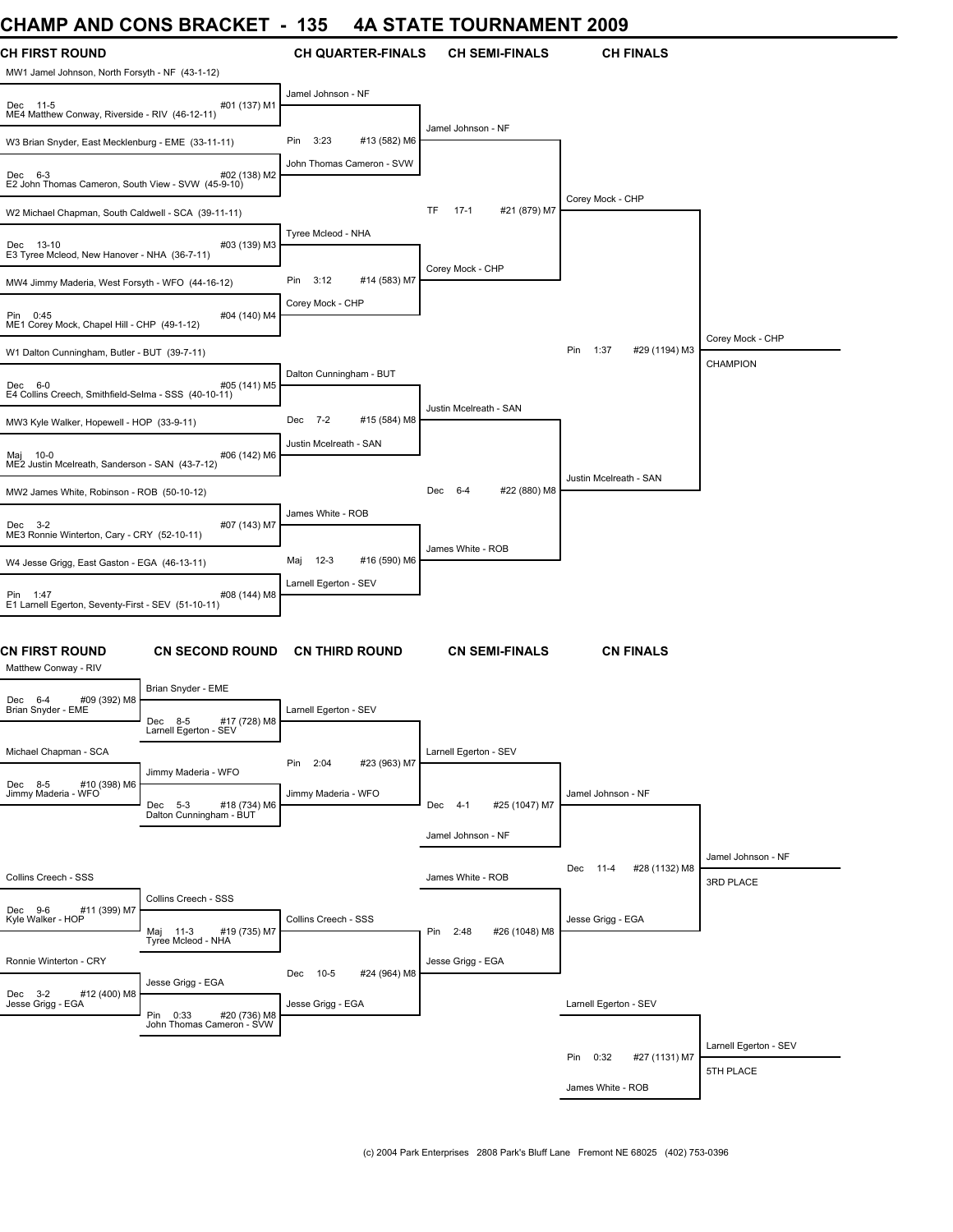### **CHAMP AND CONS BRACKET - 135 4A STATE TOURNAMENT 2009**

| UNAINIT AND UUNJ DRAUNEI                                                 |                                                       | 199                     |                           |                        | 4A STATE TOURNAMENT 2009 |                                |                                     |
|--------------------------------------------------------------------------|-------------------------------------------------------|-------------------------|---------------------------|------------------------|--------------------------|--------------------------------|-------------------------------------|
| <b>CH FIRST ROUND</b><br>MW1 Jamel Johnson, North Forsyth - NF (43-1-12) |                                                       |                         | <b>CH QUARTER-FINALS</b>  |                        | <b>CH SEMI-FINALS</b>    | <b>CH FINALS</b>               |                                     |
| Dec 11-5<br>ME4 Matthew Conway, Riverside - RIV (46-12-11)               | #01 (137) M1                                          | Jamel Johnson - NF      |                           |                        |                          |                                |                                     |
| W3 Brian Snyder, East Mecklenburg - EME (33-11-11)                       |                                                       | 3:23<br>Pin             | #13 (582) M6              | Jamel Johnson - NF     |                          |                                |                                     |
| Dec 6-3<br>E2 John Thomas Cameron, South View - SVW (45-9-10)            | #02 (138) M2                                          |                         | John Thomas Cameron - SVW |                        |                          |                                |                                     |
| W2 Michael Chapman, South Caldwell - SCA (39-11-11)                      |                                                       |                         |                           | $17-1$<br>TF           | #21 (879) M7             | Corey Mock - CHP               |                                     |
| Dec 13-10<br>E3 Tyree Mcleod, New Hanover - NHA (36-7-11)                | #03 (139) M3                                          | Tyree Mcleod - NHA      |                           |                        |                          |                                |                                     |
| MW4 Jimmy Maderia, West Forsyth - WFO (44-16-12)                         |                                                       | Pin 3:12                | #14 (583) M7              | Corey Mock - CHP       |                          |                                |                                     |
| Pin 0:45<br>ME1 Corey Mock, Chapel Hill - CHP (49-1-12)                  | #04 (140) M4                                          | Corey Mock - CHP        |                           |                        |                          |                                |                                     |
| W1 Dalton Cunningham, Butler - BUT (39-7-11)                             |                                                       |                         |                           |                        |                          | 1:37<br>#29 (1194) M3<br>Pin   | Corey Mock - CHP<br><b>CHAMPION</b> |
| Dec 6-0<br>E4 Collins Creech, Smithfield-Selma - SSS (40-10-11)          | #05 (141) M5                                          | Dalton Cunningham - BUT |                           |                        |                          |                                |                                     |
| MW3 Kyle Walker, Hopewell - HOP (33-9-11)                                |                                                       | Dec 7-2                 | #15 (584) M8              | Justin Mcelreath - SAN |                          |                                |                                     |
| Maj 10-0<br>ME2 Justin Mcelreath, Sanderson - SAN (43-7-12)              | #06 (142) M6                                          | Justin Mcelreath - SAN  |                           |                        |                          |                                |                                     |
| MW2 James White, Robinson - ROB (50-10-12)                               |                                                       |                         |                           | Dec 6-4                | #22 (880) M8             | Justin Mcelreath - SAN         |                                     |
| Dec 3-2<br>ME3 Ronnie Winterton, Cary - CRY (52-10-11)                   | #07 (143) M7                                          | James White - ROB       |                           |                        |                          |                                |                                     |
| W4 Jesse Grigg, East Gaston - EGA (46-13-11)                             |                                                       | Maj 12-3                | #16 (590) M6              | James White - ROB      |                          |                                |                                     |
| Pin 1:47<br>E1 Larnell Egerton, Seventy-First - SEV (51-10-11)           | #08 (144) M8                                          | Larnell Egerton - SEV   |                           |                        |                          |                                |                                     |
| CN FIRST ROUND<br>Matthew Conway - RIV                                   | <b>CN SECOND ROUND</b>                                |                         | <b>CN THIRD ROUND</b>     |                        | <b>CN SEMI-FINALS</b>    | <b>CN FINALS</b>               |                                     |
| #09 (392) M8<br>Dec 6-4                                                  | Brian Snyder - EME                                    |                         |                           |                        |                          |                                |                                     |
| Brian Snyder - EME                                                       | Dec 8-5<br>#17 (728) M8<br>Larnell Egerton - SEV      | Larnell Egerton - SEV   |                           |                        |                          |                                |                                     |
| Michael Chapman - SCA                                                    | Jimmy Maderia - WFO                                   | Pin 2:04                | #23 (963) M7              | Larnell Egerton - SEV  |                          |                                |                                     |
| Dec 8-5 #10 (398) M6<br>Jimmy Maderia - WFO                              | Dec 5-3<br>#18 (734) M6<br>Dalton Cunningham - BUT    | Jimmy Maderia - WFO     |                           | Dec 4-1                | #25 (1047) M7            | Jamel Johnson - NF             |                                     |
|                                                                          |                                                       |                         |                           | Jamel Johnson - NF     |                          |                                |                                     |
| Collins Creech - SSS                                                     |                                                       |                         |                           | James White - ROB      |                          | $11-4$<br>#28 (1132) M8<br>Dec | Jamel Johnson - NF<br>3RD PLACE     |
| Dec 9-6<br>#11 (399) M7<br>Kyle Walker - HOP                             | Collins Creech - SSS<br>#19 (735) M7<br>Maj 11-3      | Collins Creech - SSS    |                           | Pin 2:48               | #26 (1048) M8            | Jesse Grigg - EGA              |                                     |
|                                                                          | Tyree Mcleod - NHA                                    |                         |                           |                        |                          |                                |                                     |
| Ronnie Winterton - CRY                                                   | Jesse Grigg - EGA                                     | Dec 10-5                | #24 (964) M8              | Jesse Grigg - EGA      |                          |                                |                                     |
| Dec 3-2<br>#12 (400) M8<br>Jesse Grigg - EGA                             | Pin 0:33<br>#20 (736) M8<br>John Thomas Cameron - SVW | Jesse Grigg - EGA       |                           |                        |                          | Larnell Egerton - SEV          |                                     |
|                                                                          |                                                       |                         |                           |                        |                          |                                | Larnell Egerton - SEV               |
|                                                                          |                                                       |                         |                           |                        |                          | Pin 0:32<br>#27 (1131) M7      | 5TH PLACE                           |
|                                                                          |                                                       |                         |                           |                        |                          | James White - ROB              |                                     |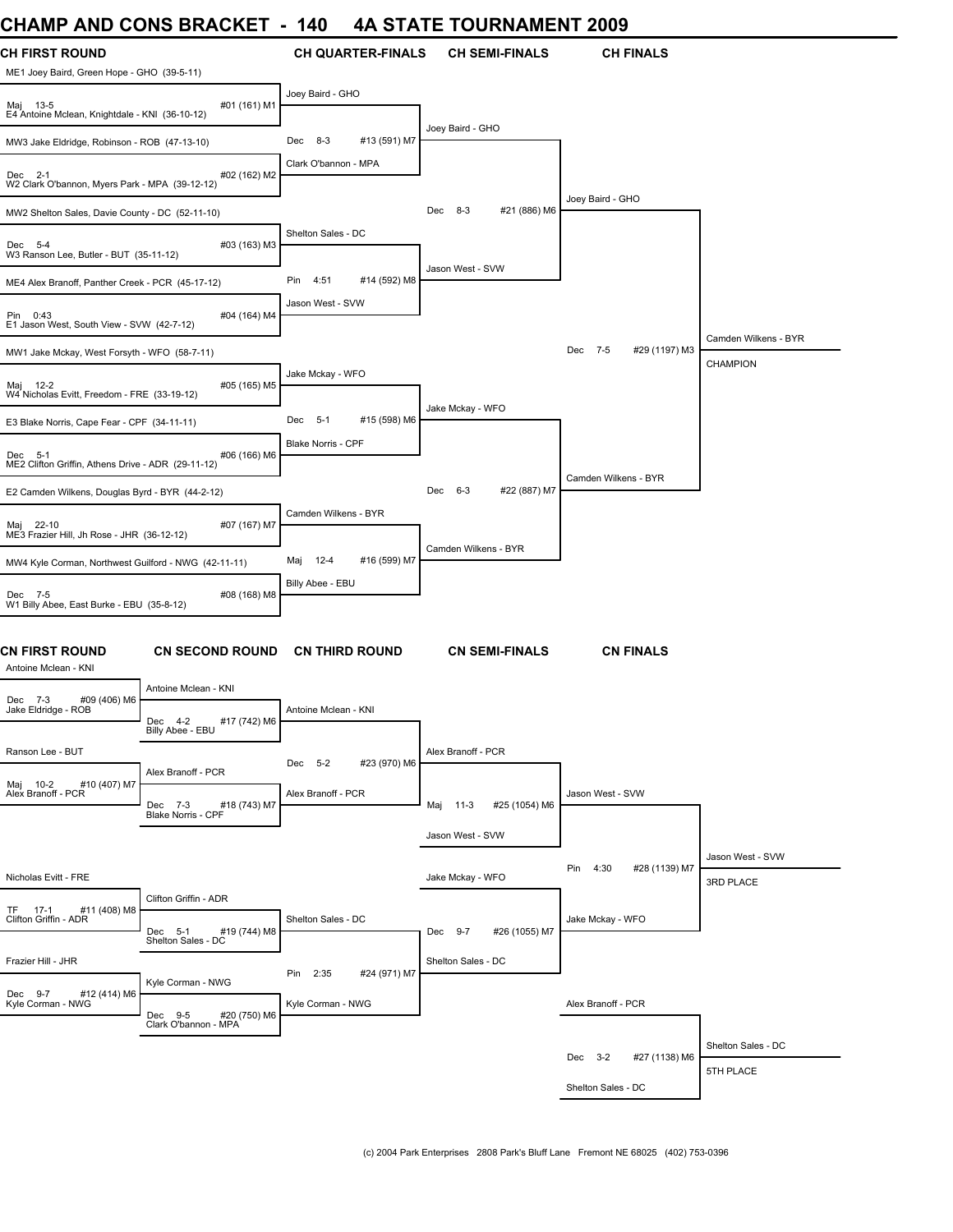### **CHAMP AND CONS BRACKET - 140 4A STATE TOURNAMENT 2009**

| ,,,,,,,,                                                            | <b>00110</b>                                     | <u>.</u>                      | UUINIAIIILII I            |                           |                      |
|---------------------------------------------------------------------|--------------------------------------------------|-------------------------------|---------------------------|---------------------------|----------------------|
| <b>CH FIRST ROUND</b><br>ME1 Joey Baird, Green Hope - GHO (39-5-11) |                                                  | <b>CH QUARTER-FINALS</b>      | <b>CH SEMI-FINALS</b>     | <b>CH FINALS</b>          |                      |
| Maj 13-5<br>E4 Antoine Mclean, Knightdale - KNI (36-10-12)          | #01 (161) M1                                     | Joey Baird - GHO              |                           |                           |                      |
| MW3 Jake Eldridge, Robinson - ROB (47-13-10)                        |                                                  | #13 (591) M7<br>Dec 8-3       | Joey Baird - GHO          |                           |                      |
| Dec 2-1<br>W2 Clark O'bannon, Myers Park - MPA (39-12-12)           | #02 (162) M2                                     | Clark O'bannon - MPA          |                           |                           |                      |
| MW2 Shelton Sales, Davie County - DC (52-11-10)                     |                                                  |                               | #21 (886) M6<br>Dec 8-3   | Joey Baird - GHO          |                      |
| Dec 5-4<br>W3 Ranson Lee, Butler - BUT (35-11-12)                   | #03 (163) M3                                     | Shelton Sales - DC            |                           |                           |                      |
| ME4 Alex Branoff, Panther Creek - PCR (45-17-12)                    |                                                  | Pin<br>4:51<br>#14 (592) M8   | Jason West - SVW          |                           |                      |
| Pin 0:43<br>E1 Jason West, South View - SVW (42-7-12)               | #04 (164) M4                                     | Jason West - SVW              |                           |                           |                      |
| MW1 Jake Mckay, West Forsyth - WFO (58-7-11)                        |                                                  |                               |                           | Dec 7-5<br>#29 (1197) M3  | Camden Wilkens - BYR |
| Maj 12-2<br>W4 Nicholas Evitt, Freedom - FRE (33-19-12)             | #05 (165) M5                                     | Jake Mckay - WFO              |                           |                           | CHAMPION             |
| E3 Blake Norris, Cape Fear - CPF (34-11-11)                         |                                                  | #15 (598) M6<br>$-5-1$<br>Dec | Jake Mckay - WFO          |                           |                      |
| Dec 5-1<br>ME2 Clifton Griffin, Athens Drive - ADR (29-11-12)       | #06 (166) M6                                     | Blake Norris - CPF            |                           |                           |                      |
| E2 Camden Wilkens, Douglas Byrd - BYR (44-2-12)                     |                                                  |                               | #22 (887) M7<br>Dec 6-3   | Camden Wilkens - BYR      |                      |
| Maj 22-10<br>ME3 Frazier Hill, Jh Rose - JHR (36-12-12)             | #07 (167) M7                                     | Camden Wilkens - BYR          |                           |                           |                      |
| MW4 Kyle Corman, Northwest Guilford - NWG (42-11-11)                |                                                  | Maj 12-4<br>#16 (599) M7      | Camden Wilkens - BYR      |                           |                      |
| Dec 7-5<br>W1 Billy Abee, East Burke - EBU (35-8-12)                | #08 (168) M8                                     | Billy Abee - EBU              |                           |                           |                      |
| <b>CN FIRST ROUND</b><br>Antoine Mclean - KNI                       | <b>CN SECOND ROUND</b>                           | <b>CN THIRD ROUND</b>         | <b>CN SEMI-FINALS</b>     | <b>CN FINALS</b>          |                      |
| #09 (406) M6<br>Dec 7-3                                             | Antoine Mclean - KNI                             |                               |                           |                           |                      |
| Jake Eldridge - ROB                                                 | #17 (742) M6<br>Dec 4-2<br>Billy Abee - EBU      | Antoine Mclean - KNI          |                           |                           |                      |
| Ranson Lee - BUT                                                    |                                                  | #23 (970) M6<br>Dec 5-2       | Alex Branoff - PCR        |                           |                      |
| #10 (407) M7<br>Maj 10-2<br>Alex Branoff - PCR                      | Alex Branoff - PCR<br>#18 (743) M7<br>Dec 7-3    | Alex Branoff - PCR            | Maj 11-3<br>#25 (1054) M6 | Jason West - SVW          |                      |
|                                                                     | Blake Norris - CPF                               |                               | Jason West - SVW          |                           |                      |
|                                                                     |                                                  |                               |                           |                           | Jason West - SVW     |
| Nicholas Evitt - FRE                                                |                                                  |                               | Jake Mckay - WFO          | Pin 4:30<br>#28 (1139) M7 | 3RD PLACE            |
| TF 17-1<br>#11 (408) M8<br>Clifton Griffin - ADR                    | Clifton Griffin - ADR<br>#19 (744) M8<br>Dec 5-1 | Shelton Sales - DC            | #26 (1055) M7<br>Dec 9-7  | Jake Mckay - WFO          |                      |
|                                                                     | Shelton Sales - DC                               |                               |                           |                           |                      |
| Frazier Hill - JHR                                                  | Kyle Corman - NWG                                | Pin 2:35<br>#24 (971) M7      | Shelton Sales - DC        |                           |                      |
| Dec 9-7<br>#12 (414) M6<br>Kyle Corman - NWG                        | Dec 9-5<br>#20 (750) M6<br>Clark O'bannon - MPA  | Kyle Corman - NWG             |                           | Alex Branoff - PCR        |                      |
|                                                                     |                                                  |                               |                           |                           | Shelton Sales - DC   |
|                                                                     |                                                  |                               |                           | Dec 3-2<br>#27 (1138) M6  | 5TH PLACE            |
|                                                                     |                                                  |                               |                           | Shelton Sales - DC        |                      |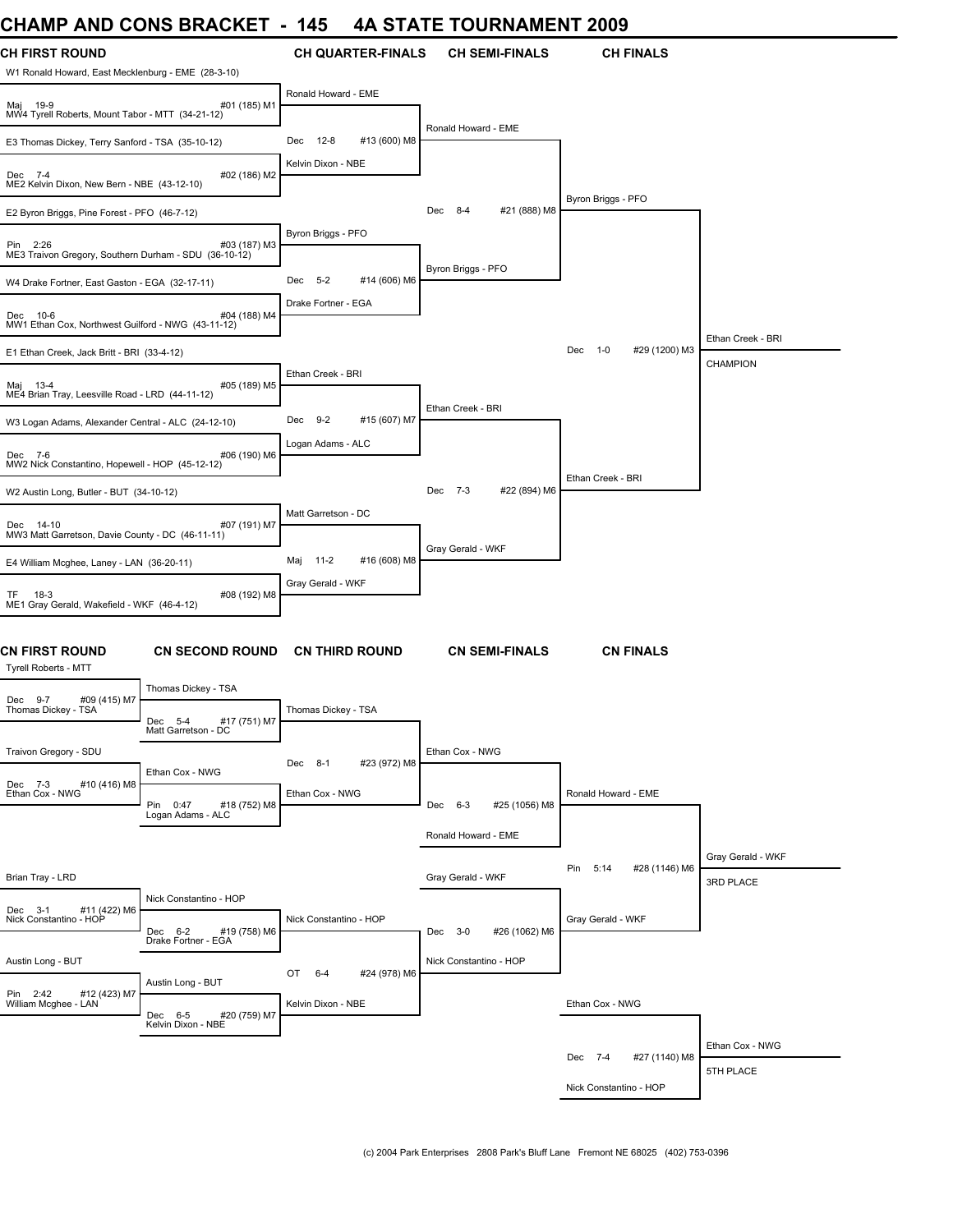### **CHAMP AND CONS BRACKET - 145 4A STATE TOURNAMENT 2009**

| ,,,,,,,,<br><b>AIL</b>                                                      | VUVUVVUVVU                                                       | ,,,,,                     | $\sim$                   |                              |                   |
|-----------------------------------------------------------------------------|------------------------------------------------------------------|---------------------------|--------------------------|------------------------------|-------------------|
| <b>CH FIRST ROUND</b><br>W1 Ronald Howard, East Mecklenburg - EME (28-3-10) |                                                                  | <b>CH QUARTER-FINALS</b>  | <b>CH SEMI-FINALS</b>    | <b>CH FINALS</b>             |                   |
| #<br>MW4 Tyrell Roberts, Mount Tabor - MTT (34-21-12)                       | #01 (185) M1                                                     | Ronald Howard - EME       |                          |                              |                   |
| E3 Thomas Dickey, Terry Sanford - TSA (35-10-12)                            |                                                                  | Dec 12-8<br>#13 (600) M8  | Ronald Howard - EME      |                              |                   |
| Dec 7-4<br>ME2 Kelvin Dixon, New Bern - NBE (43-12-10)                      | #02 (186) M2                                                     | Kelvin Dixon - NBE        |                          |                              |                   |
| E2 Byron Briggs, Pine Forest - PFO (46-7-12)                                |                                                                  |                           | #21 (888) M8<br>Dec 8-4  | Byron Briggs - PFO           |                   |
| Pin 2:26<br>ME3 Traivon Gregory, Southern Durham - SDU (36-10-12)           | #03 (187) M3                                                     | Byron Briggs - PFO        |                          |                              |                   |
| W4 Drake Fortner, East Gaston - EGA (32-17-11)                              |                                                                  | Dec 5-2<br>#14 (606) M6   | Byron Briggs - PFO       |                              |                   |
| Dec 10-6<br>MW1 Ethan Cox, Northwest Guilford - NWG (43-11-12)              | #04 (188) M4                                                     | Drake Fortner - EGA       |                          |                              |                   |
| E1 Ethan Creek, Jack Britt - BRI (33-4-12)                                  |                                                                  |                           |                          | #29 (1200) M3<br>Dec 1-0     | Ethan Creek - BRI |
| Maj 13-4<br>ME4 Brian Tray, Leesville Road - LRD (44-11-12)                 | #05 (189) M5                                                     | Ethan Creek - BRI         |                          |                              | <b>CHAMPION</b>   |
| W3 Logan Adams, Alexander Central - ALC (24-12-10)                          |                                                                  | Dec 9-2<br>#15 (607) M7   | Ethan Creek - BRI        |                              |                   |
| Dec 7-6<br>MW2 Nick Constantino, Hopewell - HOP (45-12-12)                  | #06 (190) M6                                                     | Logan Adams - ALC         |                          |                              |                   |
| W2 Austin Long, Butler - BUT (34-10-12)                                     |                                                                  |                           | #22 (894) M6<br>Dec 7-3  | Ethan Creek - BRI            |                   |
| Dec 14-10                                                                   | #07 (191) M7                                                     | Matt Garretson - DC       |                          |                              |                   |
| MW3 Matt Garretson, Davie County - DC (46-11-11)                            |                                                                  |                           | Gray Gerald - WKF        |                              |                   |
| E4 William Mcghee, Laney - LAN (36-20-11)                                   |                                                                  | Maj 11-2<br>#16 (608) M8  |                          |                              |                   |
| $18-3$<br>TF.<br>ME1 Gray Gerald, Wakefield - WKF (46-4-12)                 | #08 (192) M8                                                     | Gray Gerald - WKF         |                          |                              |                   |
| <b>CN FIRST ROUND</b><br>Tyrell Roberts - MTT                               | <b>CN SECOND ROUND</b>                                           | <b>CN THIRD ROUND</b>     | <b>CN SEMI-FINALS</b>    | <b>CN FINALS</b>             |                   |
| #09 (415) M7<br>Dec 9-7                                                     | Thomas Dickey - TSA                                              |                           |                          |                              |                   |
| Thomas Dickey - TSA                                                         | #17 (751) M7<br>Dec<br>$5 - 4$<br>Matt Garretson - DC            | Thomas Dickey - TSA       |                          |                              |                   |
| Traivon Gregory - SDU                                                       |                                                                  | #23 (972) M8<br>Dec 8-1   | Ethan Cox - NWG          |                              |                   |
| Dec 7-3<br>#10 (416) M8<br>Ethan Cox - NWG                                  | Ethan Cox - NWG<br>Pin 0:47<br>#18 (752) M8<br>Logan Adams - ALC | Ethan Cox - NWG           | Dec 6-3<br>#25 (1056) M8 | Ronald Howard - EME          |                   |
|                                                                             |                                                                  |                           | Ronald Howard - EME      |                              |                   |
|                                                                             |                                                                  |                           |                          |                              | Gray Gerald - WKF |
| Brian Tray - LRD                                                            |                                                                  |                           | Gray Gerald - WKF        | #28 (1146) M6<br>Pin<br>5:14 | 3RD PLACE         |
|                                                                             | Nick Constantino - HOP                                           |                           |                          |                              |                   |
| Dec 3-1 #11 (422) M6<br>Nick Constantino - HOP                              | Dec 6-2<br>#19 (758) M6                                          | Nick Constantino - HOP    | #26 (1062) M6<br>Dec 3-0 | Gray Gerald - WKF            |                   |
| Austin Long - BUT                                                           | Drake Fortner - EGA                                              |                           | Nick Constantino - HOP   |                              |                   |
|                                                                             | Austin Long - BUT                                                | OT<br>6-4<br>#24 (978) M6 |                          |                              |                   |
| Pin 2:42<br>#12 (423) M7<br>William Mcghee - LAN                            | Dec 6-5<br>#20 (759) M7<br>Kelvin Dixon - NBE                    | Kelvin Dixon - NBE        |                          | Ethan Cox - NWG              |                   |
|                                                                             |                                                                  |                           |                          | Dec 7-4                      | Ethan Cox - NWG   |
|                                                                             |                                                                  |                           |                          | #27 (1140) M8                | 5TH PLACE         |
|                                                                             |                                                                  |                           |                          | Nick Constantino - HOP       |                   |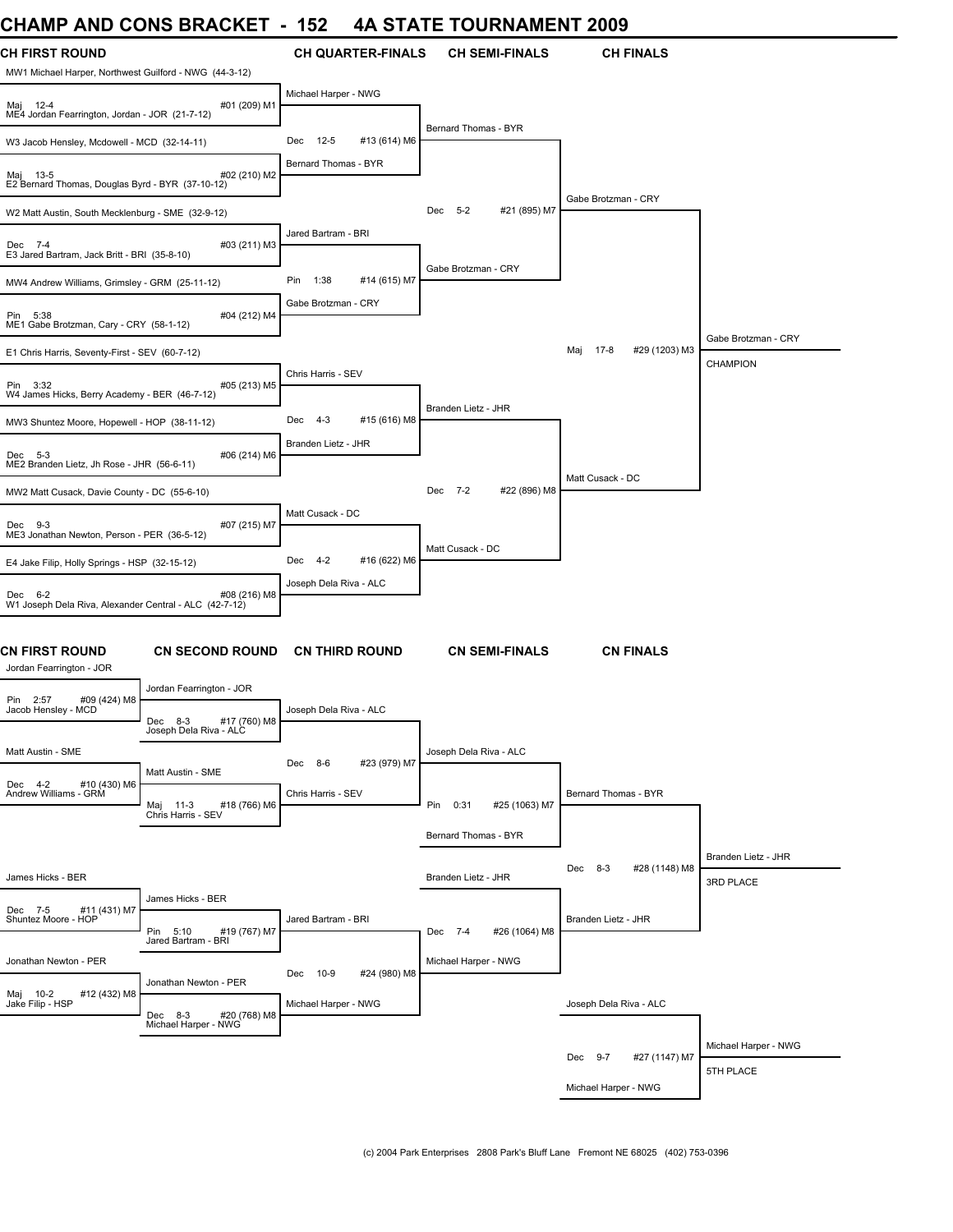# **CHAMP AND CONS BRACKET - 152 4A STATE TOURNAMENT 2009**

| <b>CH FIRST ROUND</b><br>MW1 Michael Harper, Northwest Guilford - NWG (44-3-12) |                                                   | <b>CH QUARTER-FINALS</b>        | <b>CH SEMI-FINALS</b>        | <b>CH FINALS</b>                |                                  |
|---------------------------------------------------------------------------------|---------------------------------------------------|---------------------------------|------------------------------|---------------------------------|----------------------------------|
| Maj 12-4<br>ME4 Jordan Fearrington, Jordan - JOR (21-7-12)                      | #01 (209) M1                                      | Michael Harper - NWG            |                              |                                 |                                  |
| W3 Jacob Hensley, Mcdowell - MCD (32-14-11)                                     |                                                   | $12 - 5$<br>#13 (614) M6<br>Dec | Bernard Thomas - BYR         |                                 |                                  |
| Maj 13-5<br>E2 Bernard Thomas, Douglas Byrd - BYR (37-10-12)                    | #02 (210) M2                                      | Bernard Thomas - BYR            |                              |                                 |                                  |
| W2 Matt Austin, South Mecklenburg - SME (32-9-12)                               |                                                   |                                 | #21 (895) M7<br>Dec 5-2      | Gabe Brotzman - CRY             |                                  |
| Dec 7-4<br>E3 Jared Bartram, Jack Britt - BRI (35-8-10)                         | #03 (211) M3                                      | Jared Bartram - BRI             |                              |                                 |                                  |
| MW4 Andrew Williams, Grimsley - GRM (25-11-12)                                  |                                                   | Pin<br>1:38<br>#14 (615) M7     | Gabe Brotzman - CRY          |                                 |                                  |
| Pin 5:38<br>ME1 Gabe Brotzman, Cary - CRY (58-1-12)                             | #04 (212) M4                                      | Gabe Brotzman - CRY             |                              |                                 | Gabe Brotzman - CRY              |
| E1 Chris Harris, Seventy-First - SEV (60-7-12)                                  |                                                   |                                 |                              | 17-8<br>#29 (1203) M3<br>Maj    | CHAMPION                         |
| Pin 3:32<br>W4 James Hicks, Berry Academy - BER (46-7-12)                       | #05 (213) M5                                      | Chris Harris - SEV              |                              |                                 |                                  |
| MW3 Shuntez Moore, Hopewell - HOP (38-11-12)                                    |                                                   | #15 (616) M8<br>$4 - 3$<br>Dec  | Branden Lietz - JHR          |                                 |                                  |
| Dec 5-3<br>ME2 Branden Lietz, Jh Rose - JHR (56-6-11)                           | #06 (214) M6                                      | Branden Lietz - JHR             |                              |                                 |                                  |
| MW2 Matt Cusack, Davie County - DC (55-6-10)                                    |                                                   |                                 | #22 (896) M8<br>Dec 7-2      | Matt Cusack - DC                |                                  |
| Dec 9-3<br>ME3 Jonathan Newton, Person - PER (36-5-12)                          | #07 (215) M7                                      | Matt Cusack - DC                |                              |                                 |                                  |
| E4 Jake Filip, Holly Springs - HSP (32-15-12)                                   |                                                   | #16 (622) M6<br>$4 - 2$<br>Dec  | Matt Cusack - DC             |                                 |                                  |
| Dec 6-2<br>W1 Joseph Dela Riva, Alexander Central - ALC (42-7-12)               | #08 (216) M8                                      | Joseph Dela Riva - ALC          |                              |                                 |                                  |
| <b>CN FIRST ROUND</b><br>Jordan Fearrington - JOR                               | <b>CN SECOND ROUND</b>                            | <b>CN THIRD ROUND</b>           | <b>CN SEMI-FINALS</b>        | <b>CN FINALS</b>                |                                  |
| #09 (424) M8<br>2:57<br>Pin<br>Jacob Hensley - MCD                              | Jordan Fearrington - JOR                          | Joseph Dela Riva - ALC          |                              |                                 |                                  |
|                                                                                 | #17 (760) M8<br>Dec 8-3<br>Joseph Dela Riva - ALC |                                 |                              |                                 |                                  |
| Matt Austin - SME                                                               | Matt Austin - SME                                 | Dec 8-6<br>#23 (979) M7         | Joseph Dela Riva - ALC       |                                 |                                  |
| Dec 4-2<br>#10 (430) M6<br>Andrew Williams - GRM                                | #18 (766) M6<br>Maj 11-3<br>Chris Harris - SEV    | Chris Harris - SEV              | #25 (1063) M7<br>Pin<br>0:31 | Bernard Thomas - BYR            |                                  |
|                                                                                 |                                                   |                                 | Bernard Thomas - BYR         |                                 |                                  |
| James Hicks - BER                                                               |                                                   |                                 | Branden Lietz - JHR          | #28 (1148) M8<br>$8 - 3$<br>Dec | Branden Lietz - JHR<br>3RD PLACE |
| #11 (431) M7<br>Dec 7-5                                                         | James Hicks - BER                                 |                                 |                              |                                 |                                  |
| Shuntez Moore - HOP                                                             | Pin 5:10<br>#19 (767) M7<br>Jared Bartram - BRI   | Jared Bartram - BRI             | #26 (1064) M8<br>Dec 7-4     | Branden Lietz - JHR             |                                  |
| Jonathan Newton - PER                                                           |                                                   | 10-9<br>#24 (980) M8<br>Dec     | Michael Harper - NWG         |                                 |                                  |
| #12 (432) M8<br>Maj 10-2<br>Jake Filip - HSP                                    | Jonathan Newton - PER<br>Dec 8-3<br>#20 (768) M8  | Michael Harper - NWG            |                              | Joseph Dela Riva - ALC          |                                  |
|                                                                                 | Michael Harper - NWG                              |                                 |                              |                                 | Michael Harper - NWG             |
|                                                                                 |                                                   |                                 |                              | Dec 9-7<br>#27 (1147) M7        | 5TH PLACE                        |
|                                                                                 |                                                   |                                 |                              | Michael Harper - NWG            |                                  |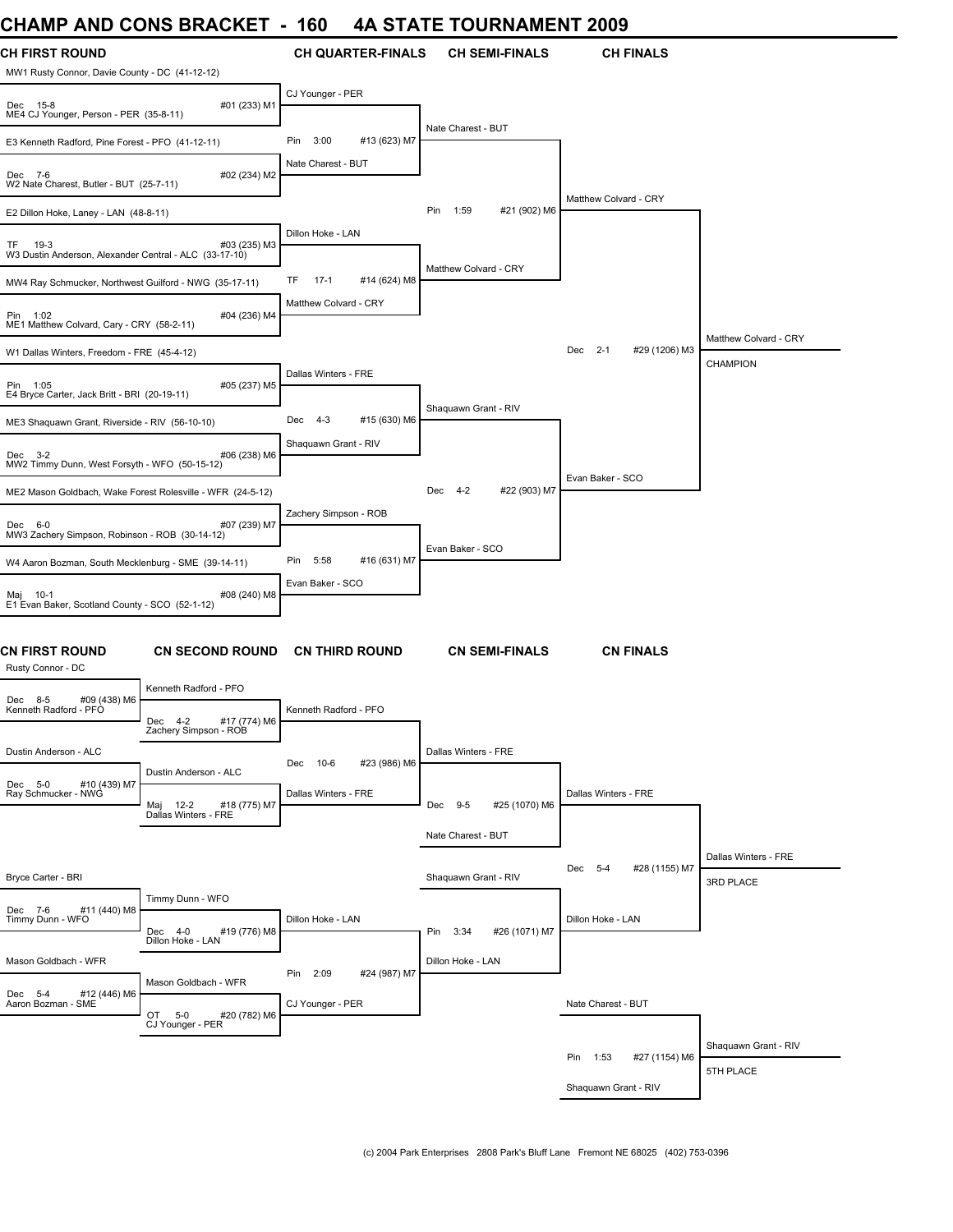### **CHAMP AND CONS BRACKET - 160 4A STATE TOURNAMENT 2009**

| CHAME AND CONS DRACKET                                                |                                                                        | טט ו                     |              |                       | HA JIAIL IUUNNAMLNI 4003 |                                 |                       |
|-----------------------------------------------------------------------|------------------------------------------------------------------------|--------------------------|--------------|-----------------------|--------------------------|---------------------------------|-----------------------|
| CH FIRST ROUND<br>MW1 Rusty Connor, Davie County - DC (41-12-12)      |                                                                        | <b>CH QUARTER-FINALS</b> |              |                       | <b>CH SEMI-FINALS</b>    | <b>CH FINALS</b>                |                       |
| Dec 15-8<br>ME4 CJ Younger, Person - PER (35-8-11)                    | #01 (233) M1                                                           | CJ Younger - PER         |              |                       |                          |                                 |                       |
| E3 Kenneth Radford, Pine Forest - PFO (41-12-11)                      |                                                                        | Pin<br>3:00              | #13 (623) M7 | Nate Charest - BUT    |                          |                                 |                       |
| Dec 7-6<br>W2 Nate Charest, Butler - BUT (25-7-11)                    | #02 (234) M2                                                           | Nate Charest - BUT       |              |                       |                          |                                 |                       |
| E2 Dillon Hoke, Laney - LAN (48-8-11)                                 |                                                                        |                          |              | Pin<br>1:59           | #21 (902) M6             | Matthew Colvard - CRY           |                       |
| 19-3<br>TF.<br>W3 Dustin Anderson, Alexander Central - ALC (33-17-10) | #03 (235) M3                                                           | Dillon Hoke - LAN        |              |                       |                          |                                 |                       |
| MW4 Ray Schmucker, Northwest Guilford - NWG (35-17-11)                |                                                                        | TF<br>$17-1$             | #14 (624) M8 | Matthew Colvard - CRY |                          |                                 |                       |
| Pin 1:02<br>ME1 Matthew Colvard, Cary - CRY (58-2-11)                 | #04 (236) M4                                                           | Matthew Colvard - CRY    |              |                       |                          |                                 |                       |
| W1 Dallas Winters, Freedom - FRE (45-4-12)                            |                                                                        |                          |              |                       |                          | Dec<br>$2 - 1$<br>#29 (1206) M3 | Matthew Colvard - CRY |
| Pin 1:05<br>E4 Bryce Carter, Jack Britt - BRI (20-19-11)              | #05 (237) M5                                                           | Dallas Winters - FRE     |              |                       |                          |                                 | <b>CHAMPION</b>       |
| ME3 Shaquawn Grant, Riverside - RIV (56-10-10)                        |                                                                        | Dec<br>$4 - 3$           | #15 (630) M6 | Shaquawn Grant - RIV  |                          |                                 |                       |
| Dec 3-2<br>MW2 Timmy Dunn, West Forsyth - WFO (50-15-12)              | #06 (238) M6                                                           | Shaquawn Grant - RIV     |              |                       |                          |                                 |                       |
| ME2 Mason Goldbach, Wake Forest Rolesville - WFR (24-5-12)            |                                                                        |                          |              | Dec 4-2               | #22 (903) M7             | Evan Baker - SCO                |                       |
| Dec 6-0<br>MW3 Zachery Simpson, Robinson - ROB (30-14-12)             | #07 (239) M7                                                           | Zachery Simpson - ROB    |              |                       |                          |                                 |                       |
| W4 Aaron Bozman, South Mecklenburg - SME (39-14-11)                   |                                                                        | Pin<br>5:58              | #16 (631) M7 | Evan Baker - SCO      |                          |                                 |                       |
| Maj 10-1<br>E1 Evan Baker, Scotland County - SCO (52-1-12)            | #08 (240) M8                                                           | Evan Baker - SCO         |              |                       |                          |                                 |                       |
| <b>CN FIRST ROUND</b><br>Rusty Connor - DC                            | <b>CN SECOND ROUND</b>                                                 | <b>CN THIRD ROUND</b>    |              |                       | <b>CN SEMI-FINALS</b>    | <b>CN FINALS</b>                |                       |
| Dec 8-5<br>#09 (438) M6<br>Kenneth Radford - PFO                      | Kenneth Radford - PFO<br>Dec<br>$4 - 2$<br>#17 (774) M6                | Kenneth Radford - PFO    |              |                       |                          |                                 |                       |
| Dustin Anderson - ALC                                                 | Zachery Simpson - ROB                                                  | Dec 10-6                 | #23 (986) M6 | Dallas Winters - FRE  |                          |                                 |                       |
| Dec 5-0 #10 (439) M7<br>Ray Schmucker - NWG                           | Dustin Anderson - ALC<br>Maj 12-2 #18 (775) M7<br>Dallas Winters - FRE | Dallas Winters - FRE     |              | Dec 9-5               | #25 (1070) M6            | Dallas Winters - FRE            |                       |
|                                                                       |                                                                        |                          |              | Nate Charest - BUT    |                          |                                 |                       |
|                                                                       |                                                                        |                          |              |                       |                          | Dec 5-4<br>#28 (1155) M7        | Dallas Winters - FRE  |
| Bryce Carter - BRI                                                    |                                                                        |                          |              | Shaquawn Grant - RIV  |                          |                                 | 3RD PLACE             |
| #11 (440) M8<br>Dec 7-6<br>Timmy Dunn - WFO                           | Timmy Dunn - WFO<br>#19 (776) M8<br>Dec 4-0                            | Dillon Hoke - LAN        |              | Pin 3:34              | #26 (1071) M7            | Dillon Hoke - LAN               |                       |
| Mason Goldbach - WFR                                                  | Dillon Hoke - LAN                                                      |                          |              | Dillon Hoke - LAN     |                          |                                 |                       |
| Dec 5-4<br>#12 (446) M6                                               | Mason Goldbach - WFR                                                   | Pin 2:09                 | #24 (987) M7 |                       |                          |                                 |                       |
| Aaron Bozman - SME                                                    | OT 5-0<br>#20 (782) M6<br>CJ Younger - PER                             | CJ Younger - PER         |              |                       |                          | Nate Charest - BUT              |                       |
|                                                                       |                                                                        |                          |              |                       |                          | Pin 1:53<br>#27 (1154) M6       | Shaquawn Grant - RIV  |
|                                                                       |                                                                        |                          |              |                       |                          | Shaquawn Grant - RIV            | 5TH PLACE             |
|                                                                       |                                                                        |                          |              |                       |                          |                                 |                       |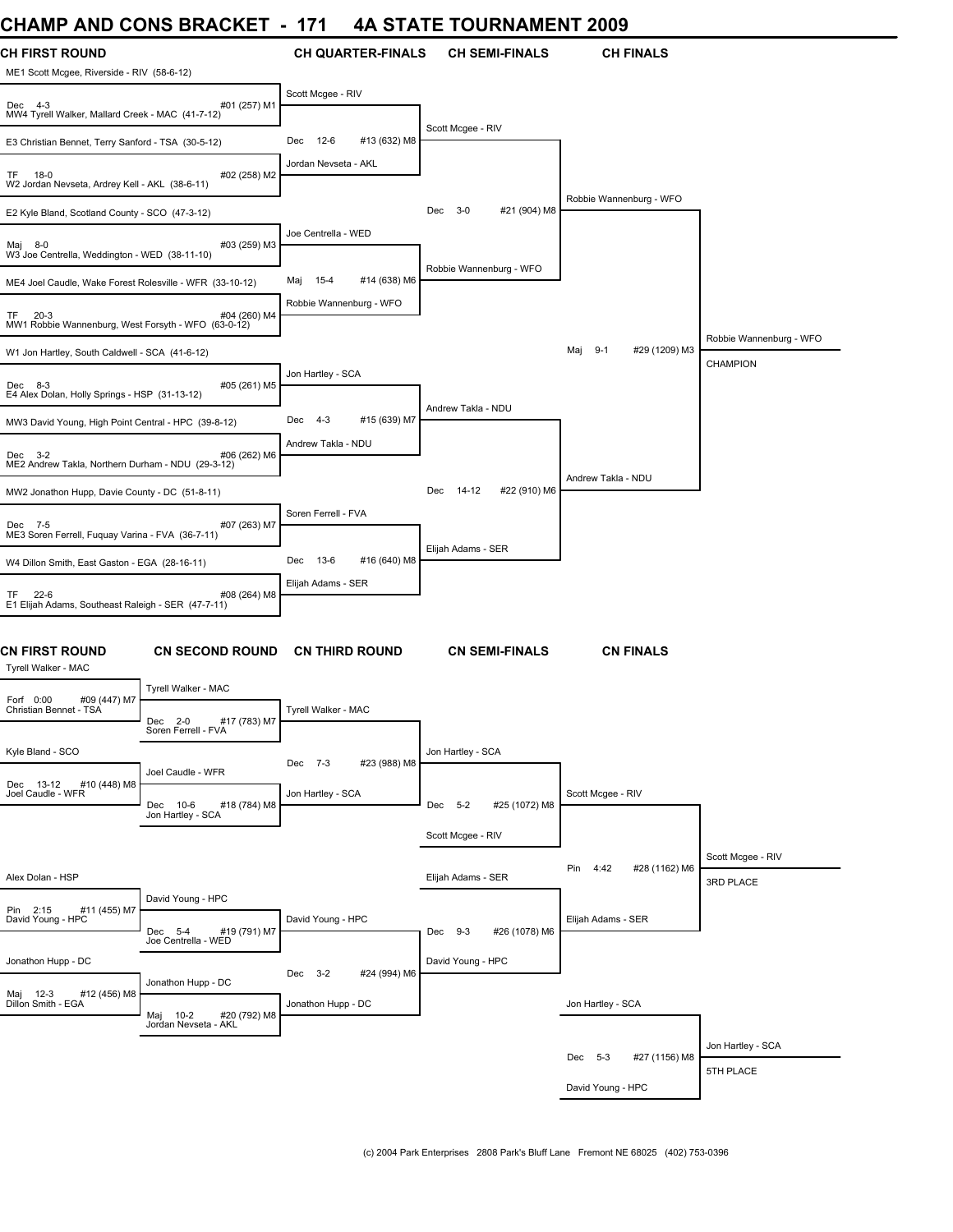# **CHAMP AND CONS BRACKET - 171 4A STATE TOURNAMENT 2009**

| <b>CH FIRST ROUND</b><br>ME1 Scott Mcgee, Riverside - RIV (58-6-12)        |                                                                           | <b>CH QUARTER-FINALS</b>    | <b>CH SEMI-FINALS</b>           | <b>CH FINALS</b>                |                                |
|----------------------------------------------------------------------------|---------------------------------------------------------------------------|-----------------------------|---------------------------------|---------------------------------|--------------------------------|
| Dec 4-3<br>MW4 Tyrell Walker, Mallard Creek - MAC (41-7-12)                | #01 (257) M1                                                              | Scott Mcgee - RIV           |                                 |                                 |                                |
| E3 Christian Bennet, Terry Sanford - TSA (30-5-12)                         |                                                                           | 12-6<br>#13 (632) M8<br>Dec | Scott Mcgee - RIV               |                                 |                                |
| $18-0$<br>TF.<br>W2 Jordan Nevseta, Ardrey Kell - AKL (38-6-11)            | #02 (258) M2                                                              | Jordan Nevseta - AKL        |                                 |                                 |                                |
| E2 Kyle Bland, Scotland County - SCO (47-3-12)                             |                                                                           |                             | Dec 3-0<br>#21 (904) M8         | Robbie Wannenburg - WFO         |                                |
| Maj 8-0<br>W3 Joe Centrella, Weddington - WED (38-11-10)                   | #03 (259) M3                                                              | Joe Centrella - WED         |                                 |                                 |                                |
| ME4 Joel Caudle, Wake Forest Rolesville - WFR (33-10-12)                   |                                                                           | 15-4<br>#14 (638) M6<br>Maj | Robbie Wannenburg - WFO         |                                 |                                |
| <b>TF</b><br>$20-3$<br>MW1 Robbie Wannenburg, West Forsyth - WFO (63-0-12) | #04 (260) M4                                                              | Robbie Wannenburg - WFO     |                                 |                                 | Robbie Wannenburg - WFO        |
| W1 Jon Hartley, South Caldwell - SCA (41-6-12)                             |                                                                           |                             |                                 | Maj<br>$9 - 1$<br>#29 (1209) M3 | <b>CHAMPION</b>                |
| Dec 8-3<br>E4 Alex Dolan, Holly Springs - HSP (31-13-12)                   | #05 (261) M5                                                              | Jon Hartley - SCA           | Andrew Takla - NDU              |                                 |                                |
| MW3 David Young, High Point Central - HPC (39-8-12)                        |                                                                           | 4-3<br>#15 (639) M7<br>Dec  |                                 |                                 |                                |
| $Dec$ 3-2<br>ME2 Andrew Takla, Northern Durham - NDU (29-3-12)             | #06 (262) M6                                                              | Andrew Takla - NDU          |                                 | Andrew Takla - NDU              |                                |
| MW2 Jonathon Hupp, Davie County - DC (51-8-11)                             |                                                                           |                             | 14-12<br>#22 (910) M6<br>Dec    |                                 |                                |
| Dec 7-5<br>ME3 Soren Ferrell, Fuquay Varina - FVA (36-7-11)                | #07 (263) M7                                                              | Soren Ferrell - FVA         | Elijah Adams - SER              |                                 |                                |
| W4 Dillon Smith, East Gaston - EGA (28-16-11)                              |                                                                           | 13-6<br>#16 (640) M8<br>Dec |                                 |                                 |                                |
| $22-6$<br>TF.<br>E1 Elijah Adams, Southeast Raleigh - SER (47-7-11)        | #08 (264) M8                                                              | Elijah Adams - SER          |                                 |                                 |                                |
| <b>CN FIRST ROUND</b><br>Tyrell Walker - MAC                               | <b>CN SECOND ROUND</b>                                                    | <b>CN THIRD ROUND</b>       | <b>CN SEMI-FINALS</b>           | <b>CN FINALS</b>                |                                |
| #09 (447) M7<br>Forf 0:00                                                  | Tyrell Walker - MAC                                                       |                             |                                 |                                 |                                |
| Christian Bennet - TSA                                                     | Dec 2-0<br>#17 (783) M7<br>Soren Ferrell - FVA                            | Tyrell Walker - MAC         |                                 |                                 |                                |
| Kyle Bland - SCO                                                           | Joel Caudle - WFR                                                         | #23 (988) M8<br>Dec 7-3     | Jon Hartley - SCA               |                                 |                                |
| Dec 13-12<br>#10 (448) M8<br>Joel Caudle - WFR                             | Dec 10-6<br>#18 (784) M8<br>Jon Hartley - SCA                             | Jon Hartley - SCA           | Dec<br>$5 - 2$<br>#25 (1072) M8 | Scott Mcgee - RIV               |                                |
|                                                                            |                                                                           |                             | Scott Mcgee - RIV               |                                 |                                |
| Alex Dolan - HSP                                                           |                                                                           |                             | Elijah Adams - SER              | Pin<br>4:42<br>#28 (1162) M6    | Scott Mcgee - RIV<br>3RD PLACE |
| Pin 2:15<br>#11 (455) M7<br>David Young - HPC                              | David Young - HPC                                                         | David Young - HPC           |                                 | Elijah Adams - SER              |                                |
|                                                                            | #19 (791) M7<br>Dec 5-4<br>Joe Centrella - WED                            |                             | Dec 9-3<br>#26 (1078) M6        |                                 |                                |
| Jonathon Hupp - DC                                                         |                                                                           | Dec 3-2<br>#24 (994) M6     | David Young - HPC               |                                 |                                |
| Maj 12-3 #<br>Dillon Smith - EGA<br>#12 (456) M8                           | Jonathon Hupp - DC<br>#20 (792) M8<br>10-2<br>Maj<br>Jordan Nevseta - AKL | Jonathon Hupp - DC          |                                 | Jon Hartley - SCA               |                                |
|                                                                            |                                                                           |                             |                                 |                                 | Jon Hartley - SCA              |
|                                                                            |                                                                           |                             |                                 | Dec 5-3<br>#27 (1156) M8        | 5TH PLACE                      |
|                                                                            |                                                                           |                             |                                 | David Young - HPC               |                                |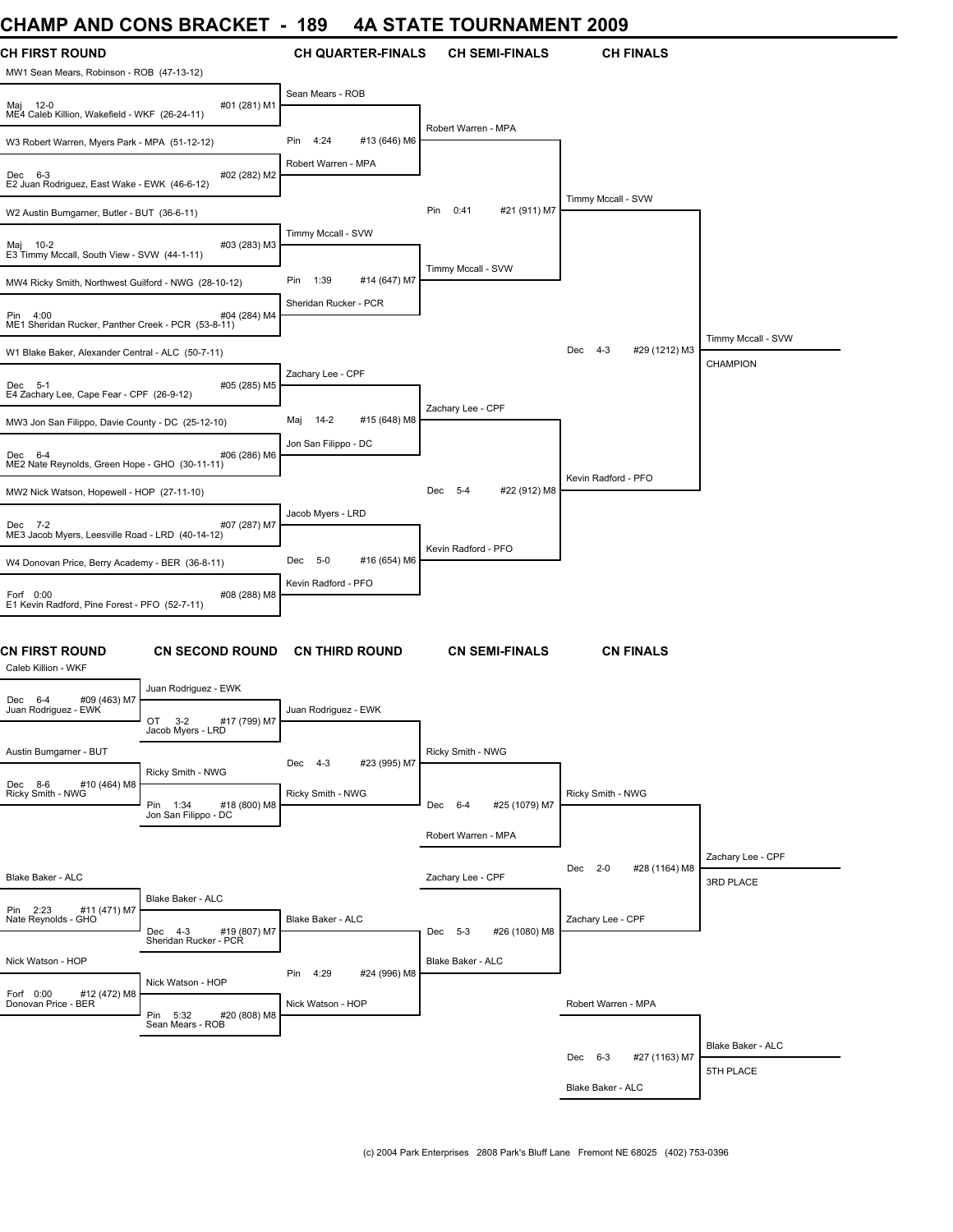### **CHAMP AND CONS BRACKET - 189 4A STATE TOURNAMENT 2009**

| <b>UIMME AND VUNJ DRAVNLI</b>                                                                             |              | ט ו<br>.,                   | <b>OIAIL IUUNIVAIVILIVI 4003</b> |                                 |                                |
|-----------------------------------------------------------------------------------------------------------|--------------|-----------------------------|----------------------------------|---------------------------------|--------------------------------|
| <b>CH FIRST ROUND</b><br>MW1 Sean Mears, Robinson - ROB (47-13-12)                                        |              | <b>CH QUARTER-FINALS</b>    | <b>CH SEMI-FINALS</b>            | <b>CH FINALS</b>                |                                |
| Maj 12-0<br>ME4 Caleb Killion, Wakefield - WKF (26-24-11)                                                 | #01 (281) M1 | Sean Mears - ROB            | Robert Warren - MPA              |                                 |                                |
| W3 Robert Warren, Myers Park - MPA (51-12-12)                                                             |              | Pin<br>4:24<br>#13 (646) M6 |                                  |                                 |                                |
| Dec 6-3<br>E2 Juan Rodriguez, East Wake - EWK (46-6-12)                                                   | #02 (282) M2 | Robert Warren - MPA         |                                  |                                 |                                |
| W2 Austin Bumgarner, Butler - BUT (36-6-11)                                                               |              |                             | Pin<br>0:41<br>#21 (911) M7      | Timmy Mccall - SVW              |                                |
| Maj 10-2<br>E3 Timmy Mccall, South View - SVW (44-1-11)                                                   | #03 (283) M3 | Timmy Mccall - SVW          |                                  |                                 |                                |
| MW4 Ricky Smith, Northwest Guilford - NWG (28-10-12)                                                      |              | Pin<br>1:39<br>#14 (647) M7 | Timmy Mccall - SVW               |                                 |                                |
| Pin 4:00<br>ME1 Sheridan Rucker, Panther Creek - PCR (53-8-11)                                            | #04 (284) M4 | Sheridan Rucker - PCR       |                                  |                                 | Timmy Mccall - SVW             |
| W1 Blake Baker, Alexander Central - ALC (50-7-11)                                                         |              |                             |                                  | Dec<br>$4 - 3$<br>#29 (1212) M3 | <b>CHAMPION</b>                |
| Dec 5-1<br>E4 Zachary Lee, Cape Fear - CPF (26-9-12)                                                      | #05 (285) M5 | Zachary Lee - CPF           |                                  |                                 |                                |
| MW3 Jon San Filippo, Davie County - DC (25-12-10)                                                         |              | 14-2<br>#15 (648) M8<br>Maj | Zachary Lee - CPF                |                                 |                                |
| Dec 6-4<br>ME2 Nate Reynolds, Green Hope - GHO (30-11-11)                                                 | #06 (286) M6 | Jon San Filippo - DC        |                                  |                                 |                                |
| MW2 Nick Watson, Hopewell - HOP (27-11-10)                                                                |              |                             | Dec 5-4<br>#22 (912) M8          | Kevin Radford - PFO             |                                |
| Dec 7-2<br>ME3 Jacob Myers, Leesville Road - LRD (40-14-12)                                               | #07 (287) M7 | Jacob Myers - LRD           | Kevin Radford - PFO              |                                 |                                |
| W4 Donovan Price, Berry Academy - BER (36-8-11)                                                           |              | Dec 5-0<br>#16 (654) M6     |                                  |                                 |                                |
| Forf 0:00<br>E1 Kevin Radford, Pine Forest - PFO (52-7-11)                                                | #08 (288) M8 | Kevin Radford - PFO         |                                  |                                 |                                |
| <b>CN FIRST ROUND</b><br><b>CN SECOND ROUND</b><br>Caleb Killion - WKF                                    |              | <b>CN THIRD ROUND</b>       | <b>CN SEMI-FINALS</b>            | <b>CN FINALS</b>                |                                |
| Juan Rodriguez - EWK<br>#09 (463) M7<br>Dec 6-4<br>Juan Rodriguez - EWK<br>OT<br>$3 - 2$                  | #17 (799) M7 | Juan Rodriguez - EWK        |                                  |                                 |                                |
| Jacob Myers - LRD<br>Austin Bumgarner - BUT                                                               |              | Dec 4-3<br>#23 (995) M7     | Ricky Smith - NWG                |                                 |                                |
| Ricky Smith - NWG<br>Dec 8-6<br>#10 (464) M8<br>Ricky Smith - NWG<br>Pin 1:34 #18<br>Jon San Filippo - DC | #18 (800) M8 | Ricky Smith - NWG           | Dec 6-4<br>#25 (1079) M7         | Ricky Smith - NWG               |                                |
|                                                                                                           |              |                             | Robert Warren - MPA              |                                 |                                |
| Blake Baker - ALC                                                                                         |              |                             | Zachary Lee - CPF                | Dec 2-0<br>#28 (1164) M8        | Zachary Lee - CPF<br>3RD PLACE |
| Blake Baker - ALC                                                                                         |              |                             |                                  |                                 |                                |
| Pin 2:23<br>#11 (471) M7<br>Nate Reynolds - GHO<br>Dec 4-3 #19 (807) M7<br>Sheridan Rucker - PCR          |              | <b>Blake Baker - ALC</b>    | Dec 5-3<br>#26 (1080) M8         | Zachary Lee - CPF               |                                |
| Nick Watson - HOP                                                                                         |              | Pin 4:29<br>#24 (996) M8    | Blake Baker - ALC                |                                 |                                |
| Nick Watson - HOP<br>Forf 0:00<br>#12 (472) M8<br>Donovan Price - BER<br>Pin 5:32                         | #20 (808) M8 | Nick Watson - HOP           |                                  | Robert Warren - MPA             |                                |
| Sean Mears - ROB                                                                                          |              |                             |                                  |                                 | Blake Baker - ALC              |
|                                                                                                           |              |                             |                                  | Dec 6-3<br>#27 (1163) M7        | 5TH PLACE                      |
|                                                                                                           |              |                             |                                  | Blake Baker - ALC               |                                |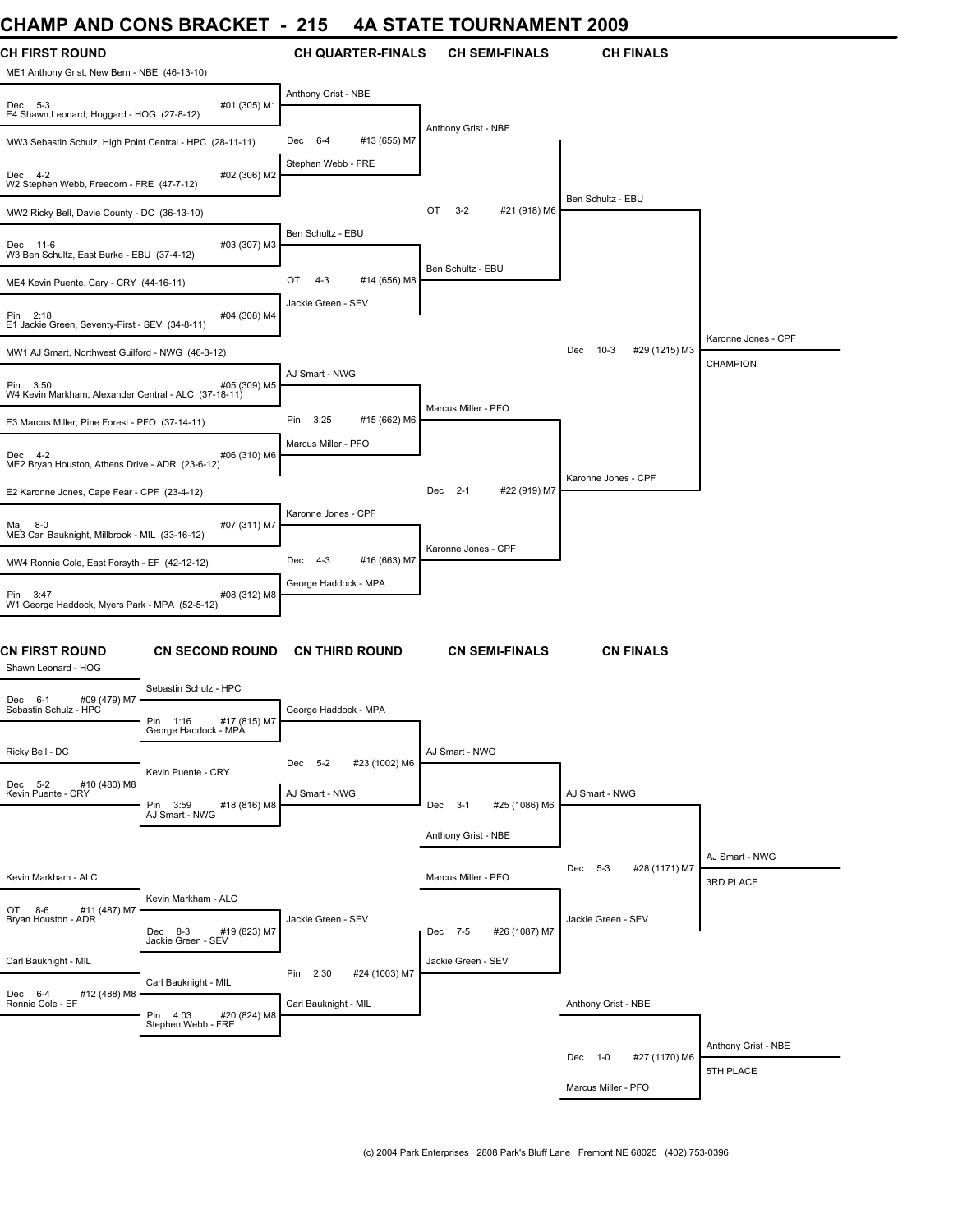### **CHAMP AND CONS BRACKET - 215 4A STATE TOURNAMENT 2009**

| UMANIP AND UUNG BRAUNET                                                          |                                                  | - 215                          | 4A SIAIE IUUKNAMENI 4009      |                           |                             |
|----------------------------------------------------------------------------------|--------------------------------------------------|--------------------------------|-------------------------------|---------------------------|-----------------------------|
| <b>CH FIRST ROUND</b><br>ME1 Anthony Grist, New Bern - NBE (46-13-10)            |                                                  | <b>CH QUARTER-FINALS</b>       | <b>CH SEMI-FINALS</b>         | <b>CH FINALS</b>          |                             |
| #01 (305) M1<br>Dec 5-3<br>E4 Shawn Leonard, Hoggard - HOG (27-8-12)             |                                                  | Anthony Grist - NBE            |                               |                           |                             |
| MW3 Sebastin Schulz, High Point Central - HPC (28-11-11)                         |                                                  | $6 - 4$<br>#13 (655) M7<br>Dec | Anthony Grist - NBE           |                           |                             |
| #02 (306) M2<br>Dec 4-2<br>W2 Stephen Webb, Freedom - FRE (47-7-12)              |                                                  | Stephen Webb - FRE             |                               |                           |                             |
| MW2 Ricky Bell, Davie County - DC (36-13-10)                                     |                                                  |                                | OT<br>$3 - 2$<br>#21 (918) M6 | Ben Schultz - EBU         |                             |
| #03 (307) M3<br>Dec 11-6<br>W3 Ben Schultz, East Burke - EBU (37-4-12)           |                                                  | Ben Schultz - EBU              |                               |                           |                             |
| ME4 Kevin Puente, Cary - CRY (44-16-11)                                          |                                                  | #14 (656) M8<br>OT<br>$4 - 3$  | Ben Schultz - EBU             |                           |                             |
| #04 (308) M4<br>Pin 2:18<br>E1 Jackie Green, Seventy-First - SEV (34-8-11)       |                                                  | Jackie Green - SEV             |                               |                           |                             |
| MW1 AJ Smart, Northwest Guilford - NWG (46-3-12)                                 |                                                  |                                |                               | Dec 10-3<br>#29 (1215) M3 | Karonne Jones - CPF         |
| #05 (309) M5<br>Pin 3:50<br>W4 Kevin Markham, Alexander Central - ALC (37-18-11) |                                                  | AJ Smart - NWG                 |                               |                           | <b>CHAMPION</b>             |
| E3 Marcus Miller, Pine Forest - PFO (37-14-11)                                   |                                                  | 3:25<br>Pin<br>#15 (662) M6    | Marcus Miller - PFO           |                           |                             |
| #06 (310) M6<br>Dec 4-2<br>ME2 Bryan Houston, Athens Drive - ADR (23-6-12)       |                                                  | Marcus Miller - PFO            |                               |                           |                             |
| E2 Karonne Jones, Cape Fear - CPF (23-4-12)                                      |                                                  |                                | Dec 2-1<br>#22 (919) M7       | Karonne Jones - CPF       |                             |
| #07 (311) M7<br>Maj 8-0<br>ME3 Carl Bauknight, Millbrook - MIL (33-16-12)        |                                                  | Karonne Jones - CPF            |                               |                           |                             |
| MW4 Ronnie Cole, East Forsyth - EF (42-12-12)                                    |                                                  | #16 (663) M7<br>Dec 4-3        | Karonne Jones - CPF           |                           |                             |
| Pin 3:47<br>#08 (312) M8<br>W1 George Haddock, Myers Park - MPA (52-5-12)        |                                                  | George Haddock - MPA           |                               |                           |                             |
| CN FIRST ROUND<br>Shawn Leonard - HOG                                            | <b>CN SECOND ROUND</b>                           | <b>CN THIRD ROUND</b>          | <b>CN SEMI-FINALS</b>         | <b>CN FINALS</b>          |                             |
| #09 (479) M7<br>Dec 6-1                                                          | Sebastin Schulz - HPC                            |                                |                               |                           |                             |
| Sebastin Schulz - HPC                                                            | Pin 1:16<br>#17 (815) M7<br>George Haddock - MPA | George Haddock - MPA           |                               |                           |                             |
| Ricky Bell - DC                                                                  | Kevin Puente - CRY                               | Dec 5-2<br>#23 (1002) M6       | AJ Smart - NWG                |                           |                             |
| Dec 5-2<br>#10 (480) M8<br>Kevin Puente - CRY                                    | Pin 3:59<br>#18 (816) M8<br>AJ Smart - NWG       | AJ Smart - NWG                 | Dec 3-1<br>#25 (1086) M6      | AJ Smart - NWG            |                             |
|                                                                                  |                                                  |                                | Anthony Grist - NBE           |                           |                             |
| Kevin Markham - ALC                                                              |                                                  |                                | Marcus Miller - PFO           | Dec 5-3<br>#28 (1171) M7  | AJ Smart - NWG<br>3RD PLACE |
| OT 8-6<br>#11 (487) M7<br>Bryan Houston - ADR                                    | Kevin Markham - ALC<br>Dec 8-3<br>#19 (823) M7   | Jackie Green - SEV             | Dec 7-5<br>#26 (1087) M7      | Jackie Green - SEV        |                             |
| Carl Bauknight - MIL                                                             | Jackie Green - SEV                               |                                | Jackie Green - SEV            |                           |                             |
|                                                                                  | Carl Bauknight - MIL                             | 2:30<br>Pin<br>#24 (1003) M7   |                               |                           |                             |
| Dec 6-4<br>#12 (488) M8<br>Ronnie Cole - EF                                      | Pin 4:03<br>#20 (824) M8<br>Stephen Webb - FRE   | Carl Bauknight - MIL           |                               | Anthony Grist - NBE       |                             |
|                                                                                  |                                                  |                                |                               | #27 (1170) M6<br>Dec 1-0  | Anthony Grist - NBE         |
|                                                                                  |                                                  |                                |                               | Marcus Miller - PFO       | 5TH PLACE                   |
|                                                                                  |                                                  |                                |                               |                           |                             |